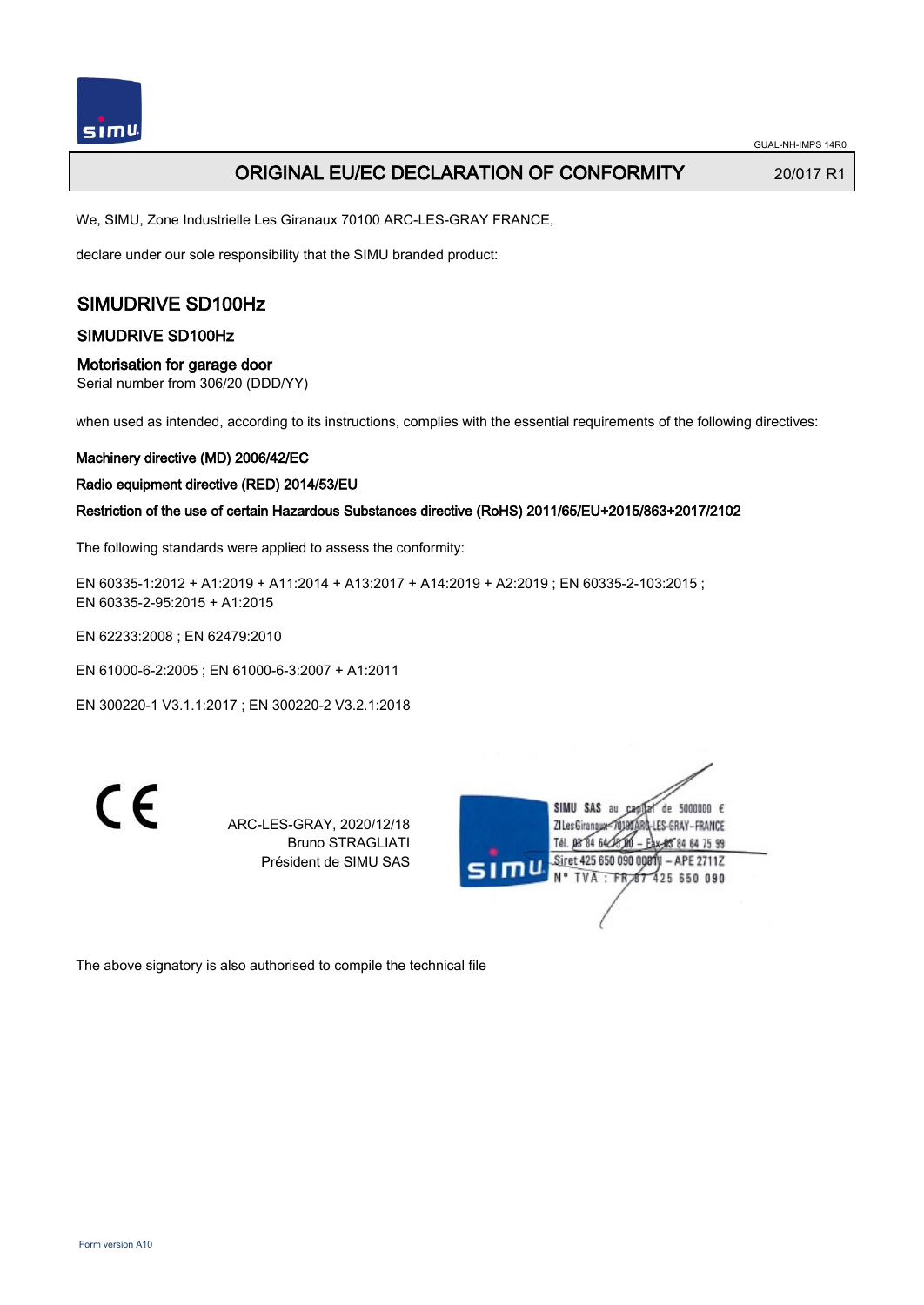# **ORIGINAL EU/EC DECLARATION OF CONFORMITY** 20/017 R1

We, SIMU, Zone Industrielle Les Giranaux 70100 ARC-LES-GRAY FRANCE,

declare under our sole responsibility that the SIMU branded product:

# SIMUDRIVE SD100Hz

### SIMUDRIVE SD100Hz

## Motorisation for garage door

Serial number from 306/20 (DDD/YY)

when used as intended, according to its instructions, complies with the essential requirements of the following directives:

#### Machinery directive (MD) 2006/42/EC

#### Radio equipment directive (RED) 2014/53/EU

### Restriction of the use of certain Hazardous Substances directive (RoHS) 2011/65/EU+2015/863+2017/2102

The following standards were applied to assess the conformity:

EN 60335-1:2012 + A1:2019 + A11:2014 + A13:2017 + A14:2019 + A2:2019 ; EN 60335-2-103:2015 ; EN 60335‑2‑95:2015 + A1:2015

EN 62233:2008 ; EN 62479:2010

EN 61000‑6‑2:2005 ; EN 61000‑6‑3:2007 + A1:2011

EN 300220‑1 V3.1.1:2017 ; EN 300220‑2 V3.2.1:2018

 $\epsilon$ 

ARC-LES-GRAY, 2020/12/18 Bruno STRAGLIATI Président de SIMU SAS



The above signatory is also authorised to compile the technical file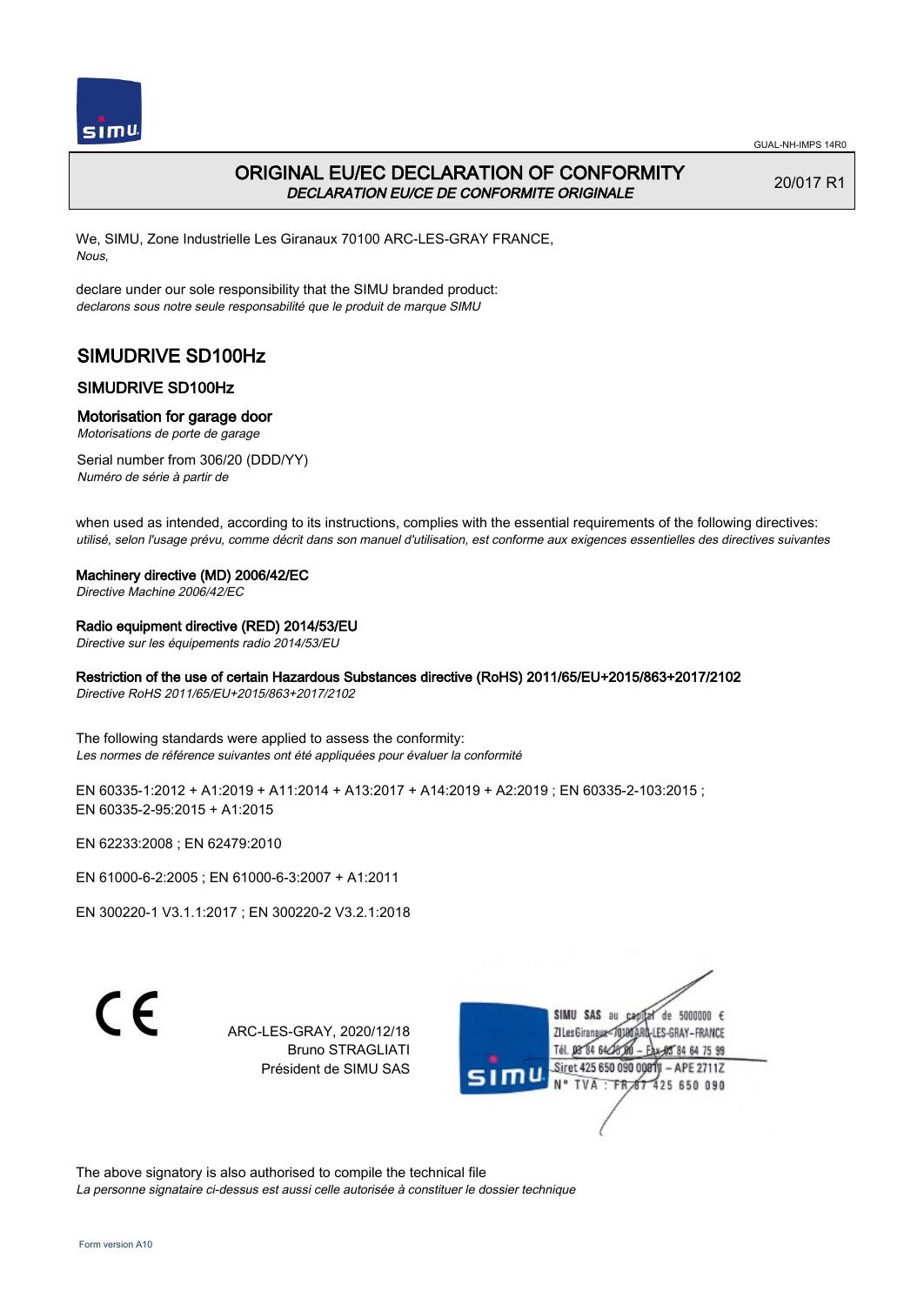

# ORIGINAL EU/EC DECLARATION OF CONFORMITY DECLARATION EU/CE DE CONFORMITE ORIGINALE

20/017 R1

We, SIMU, Zone Industrielle Les Giranaux 70100 ARC-LES-GRAY FRANCE, Nous,

declare under our sole responsibility that the SIMU branded product: declarons sous notre seule responsabilité que le produit de marque SIMU

# SIMUDRIVE SD100Hz

# SIMUDRIVE SD100Hz

### Motorisation for garage door

Motorisations de porte de garage

Serial number from 306/20 (DDD/YY) Numéro de série à partir de

when used as intended, according to its instructions, complies with the essential requirements of the following directives: utilisé, selon l'usage prévu, comme décrit dans son manuel d'utilisation, est conforme aux exigences essentielles des directives suivantes

#### Machinery directive (MD) 2006/42/EC

Directive Machine 2006/42/EC

### Radio equipment directive (RED) 2014/53/EU

Directive sur les équipements radio 2014/53/EU

## Restriction of the use of certain Hazardous Substances directive (RoHS) 2011/65/EU+2015/863+2017/2102

Directive RoHS 2011/65/EU+2015/863+2017/2102

The following standards were applied to assess the conformity: Les normes de référence suivantes ont été appliquées pour évaluer la conformité

EN 60335-1:2012 + A1:2019 + A11:2014 + A13:2017 + A14:2019 + A2:2019 ; EN 60335-2-103:2015 ; EN 60335‑2‑95:2015 + A1:2015

EN 62233:2008 ; EN 62479:2010

EN 61000‑6‑2:2005 ; EN 61000‑6‑3:2007 + A1:2011

EN 300220‑1 V3.1.1:2017 ; EN 300220‑2 V3.2.1:2018

C E

ARC-LES-GRAY, 2020/12/18 Bruno STRAGLIATI Président de SIMU SAS



The above signatory is also authorised to compile the technical file La personne signataire ci-dessus est aussi celle autorisée à constituer le dossier technique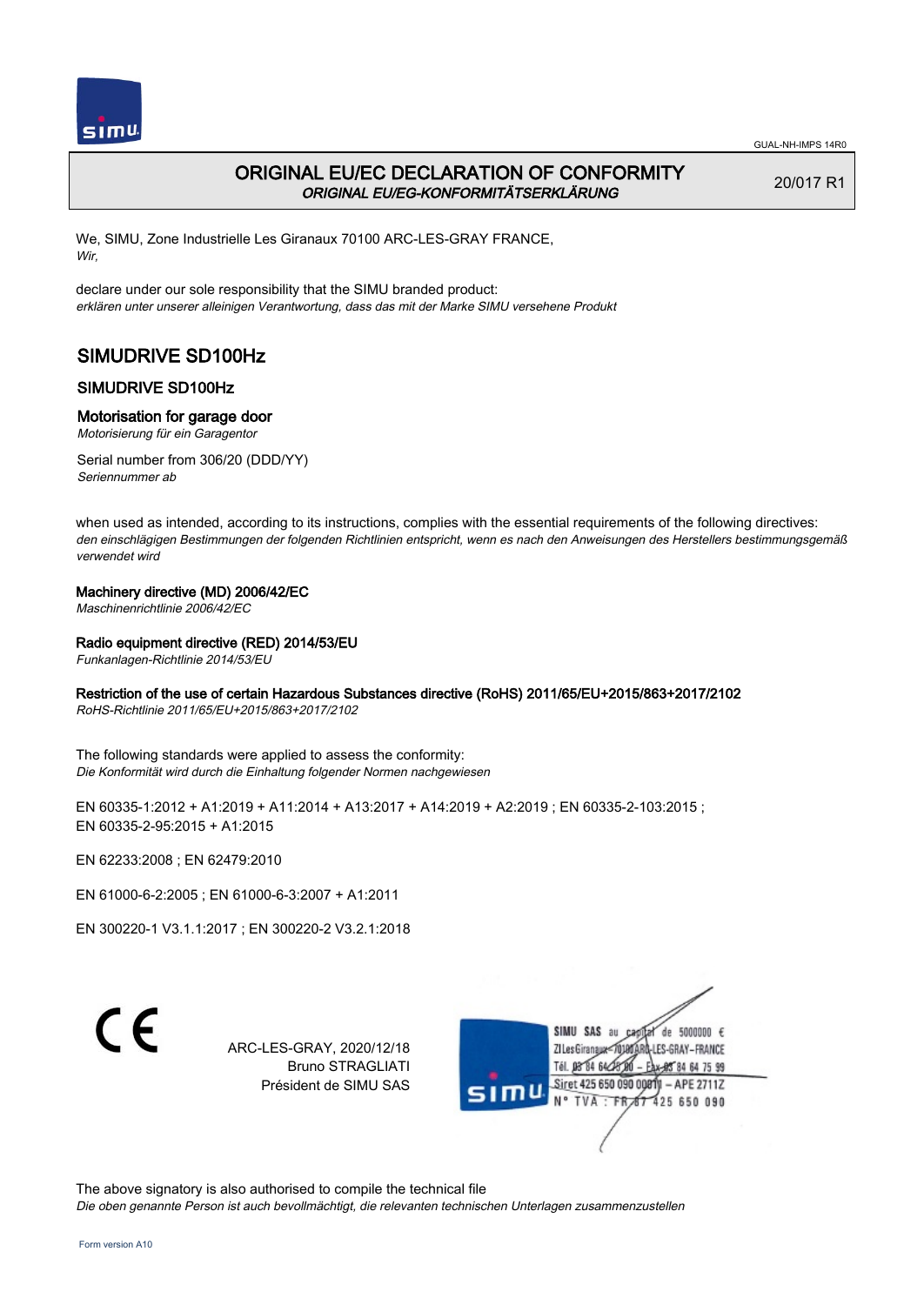

# ORIGINAL EU/EC DECLARATION OF CONFORMITY ORIGINAL EU/EG-KONFORMITÄTSERKLÄRUNG

20/017 R1

We, SIMU, Zone Industrielle Les Giranaux 70100 ARC-LES-GRAY FRANCE, Wir,

declare under our sole responsibility that the SIMU branded product: erklären unter unserer alleinigen Verantwortung, dass das mit der Marke SIMU versehene Produkt

# SIMUDRIVE SD100Hz

# SIMUDRIVE SD100Hz

### Motorisation for garage door

Motorisierung für ein Garagentor

Serial number from 306/20 (DDD/YY) Seriennummer ab

when used as intended, according to its instructions, complies with the essential requirements of the following directives: den einschlägigen Bestimmungen der folgenden Richtlinien entspricht, wenn es nach den Anweisungen des Herstellers bestimmungsgemäß verwendet wird

### Machinery directive (MD) 2006/42/EC

Maschinenrichtlinie 2006/42/EC

### Radio equipment directive (RED) 2014/53/EU

Funkanlagen-Richtlinie 2014/53/EU

## Restriction of the use of certain Hazardous Substances directive (RoHS) 2011/65/EU+2015/863+2017/2102

RoHS-Richtlinie 2011/65/EU+2015/863+2017/2102

The following standards were applied to assess the conformity: Die Konformität wird durch die Einhaltung folgender Normen nachgewiesen

EN 60335-1:2012 + A1:2019 + A11:2014 + A13:2017 + A14:2019 + A2:2019 ; EN 60335-2-103:2015 ; EN 60335‑2‑95:2015 + A1:2015

EN 62233:2008 ; EN 62479:2010

EN 61000‑6‑2:2005 ; EN 61000‑6‑3:2007 + A1:2011

EN 300220‑1 V3.1.1:2017 ; EN 300220‑2 V3.2.1:2018

 $\epsilon$ 

ARC-LES-GRAY, 2020/12/18 Bruno STRAGLIATI Président de SIMU SAS



The above signatory is also authorised to compile the technical file Die oben genannte Person ist auch bevollmächtigt, die relevanten technischen Unterlagen zusammenzustellen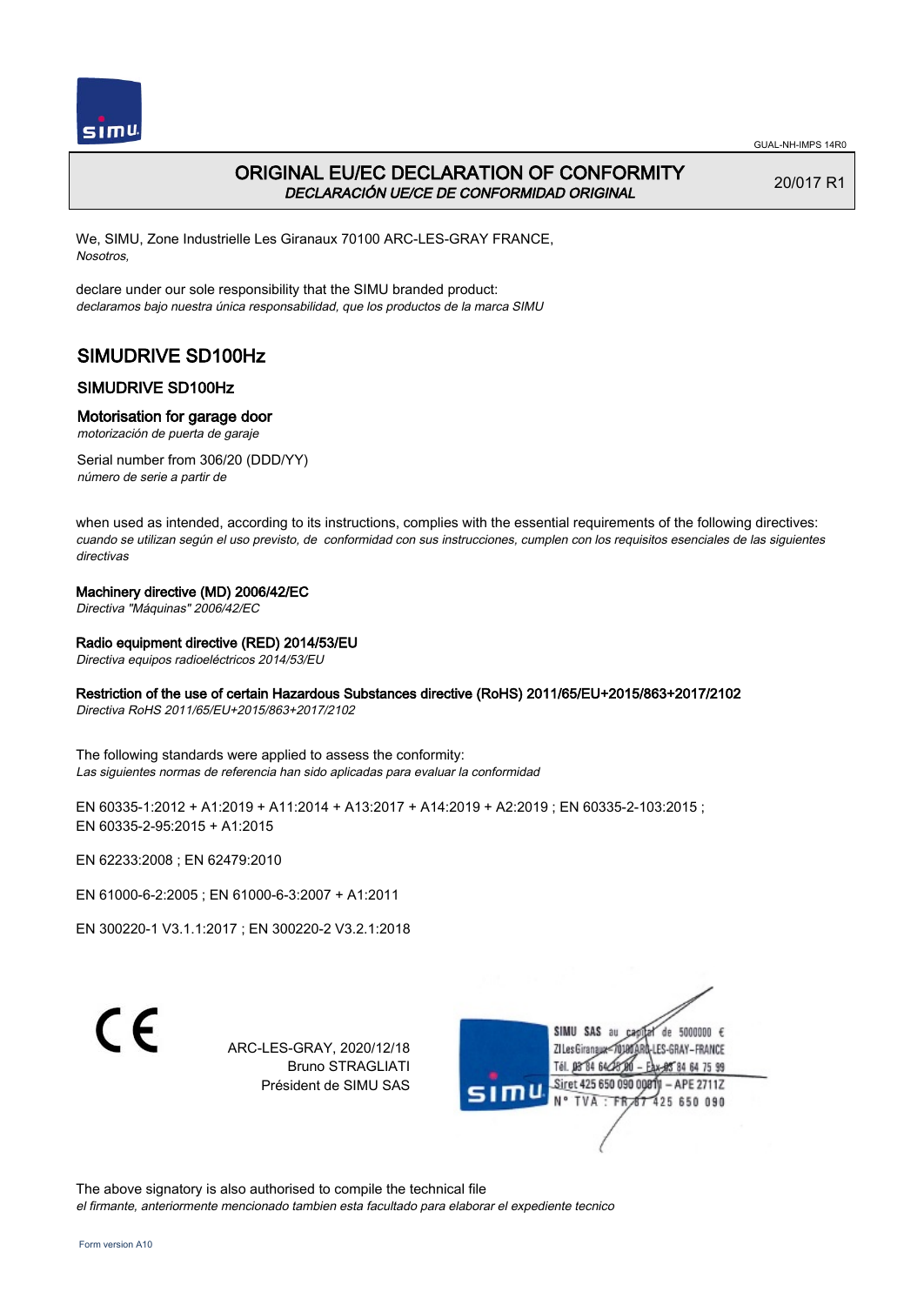

# ORIGINAL EU/EC DECLARATION OF CONFORMITY DECLARACIÓN UE/CE DE CONFORMIDAD ORIGINAL

20/017 R1

We, SIMU, Zone Industrielle Les Giranaux 70100 ARC-LES-GRAY FRANCE, Nosotros,

declare under our sole responsibility that the SIMU branded product: declaramos bajo nuestra única responsabilidad, que los productos de la marca SIMU

# SIMUDRIVE SD100Hz

# SIMUDRIVE SD100Hz

## Motorisation for garage door

motorización de puerta de garaje

Serial number from 306/20 (DDD/YY) número de serie a partir de

when used as intended, according to its instructions, complies with the essential requirements of the following directives: cuando se utilizan según el uso previsto, de conformidad con sus instrucciones, cumplen con los requisitos esenciales de las siguientes directivas

## Machinery directive (MD) 2006/42/EC

Directiva "Máquinas" 2006/42/EC

## Radio equipment directive (RED) 2014/53/EU

Directiva equipos radioeléctricos 2014/53/EU

## Restriction of the use of certain Hazardous Substances directive (RoHS) 2011/65/EU+2015/863+2017/2102

Directiva RoHS 2011/65/EU+2015/863+2017/2102

The following standards were applied to assess the conformity: Las siguientes normas de referencia han sido aplicadas para evaluar la conformidad

EN 60335-1:2012 + A1:2019 + A11:2014 + A13:2017 + A14:2019 + A2:2019 ; EN 60335-2-103:2015 ; EN 60335‑2‑95:2015 + A1:2015

EN 62233:2008 ; EN 62479:2010

EN 61000‑6‑2:2005 ; EN 61000‑6‑3:2007 + A1:2011

EN 300220‑1 V3.1.1:2017 ; EN 300220‑2 V3.2.1:2018

 $\epsilon$ 

ARC-LES-GRAY, 2020/12/18 Bruno STRAGLIATI Président de SIMU SAS



The above signatory is also authorised to compile the technical file el firmante, anteriormente mencionado tambien esta facultado para elaborar el expediente tecnico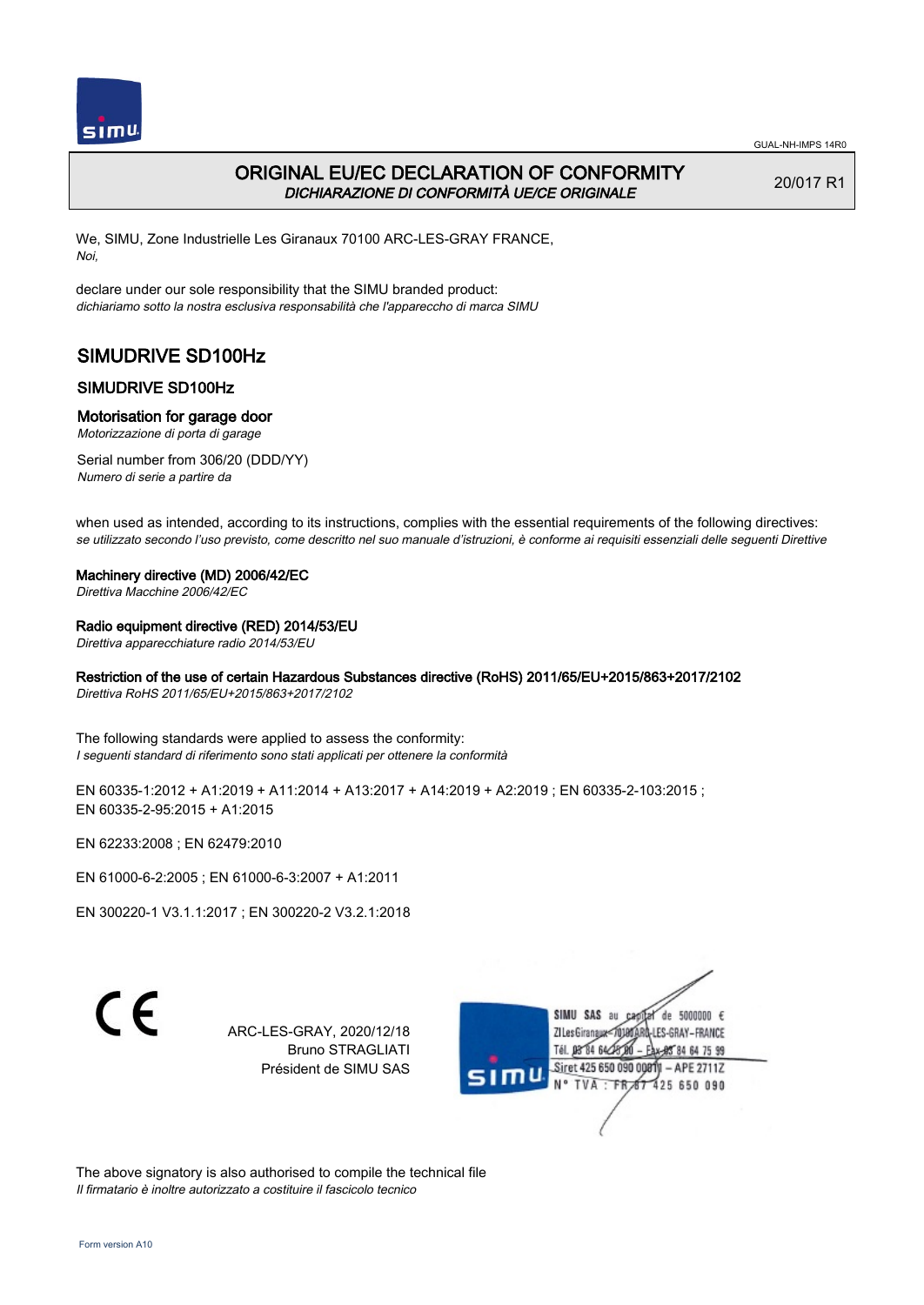

# ORIGINAL EU/EC DECLARATION OF CONFORMITY DICHIARAZIONE DI CONFORMITÀ UE/CE ORIGINALE

20/017 R1

We, SIMU, Zone Industrielle Les Giranaux 70100 ARC-LES-GRAY FRANCE, Noi,

declare under our sole responsibility that the SIMU branded product: dichiariamo sotto la nostra esclusiva responsabilità che l'appareccho di marca SIMU

# SIMUDRIVE SD100Hz

### SIMUDRIVE SD100Hz

#### Motorisation for garage door

Motorizzazione di porta di garage

Serial number from 306/20 (DDD/YY) Numero di serie a partire da

when used as intended, according to its instructions, complies with the essential requirements of the following directives: se utilizzato secondo l'uso previsto, come descritto nel suo manuale d'istruzioni, è conforme ai requisiti essenziali delle seguenti Direttive

#### Machinery directive (MD) 2006/42/EC

Direttiva Macchine 2006/42/EC

#### Radio equipment directive (RED) 2014/53/EU

Direttiva apparecchiature radio 2014/53/EU

## Restriction of the use of certain Hazardous Substances directive (RoHS) 2011/65/EU+2015/863+2017/2102

Direttiva RoHS 2011/65/EU+2015/863+2017/2102

The following standards were applied to assess the conformity: I seguenti standard di riferimento sono stati applicati per ottenere la conformità

EN 60335-1:2012 + A1:2019 + A11:2014 + A13:2017 + A14:2019 + A2:2019 ; EN 60335-2-103:2015 ; EN 60335‑2‑95:2015 + A1:2015

EN 62233:2008 ; EN 62479:2010

EN 61000‑6‑2:2005 ; EN 61000‑6‑3:2007 + A1:2011

EN 300220‑1 V3.1.1:2017 ; EN 300220‑2 V3.2.1:2018

C E

ARC-LES-GRAY, 2020/12/18 Bruno STRAGLIATI Président de SIMU SAS



The above signatory is also authorised to compile the technical file Il firmatario è inoltre autorizzato a costituire il fascicolo tecnico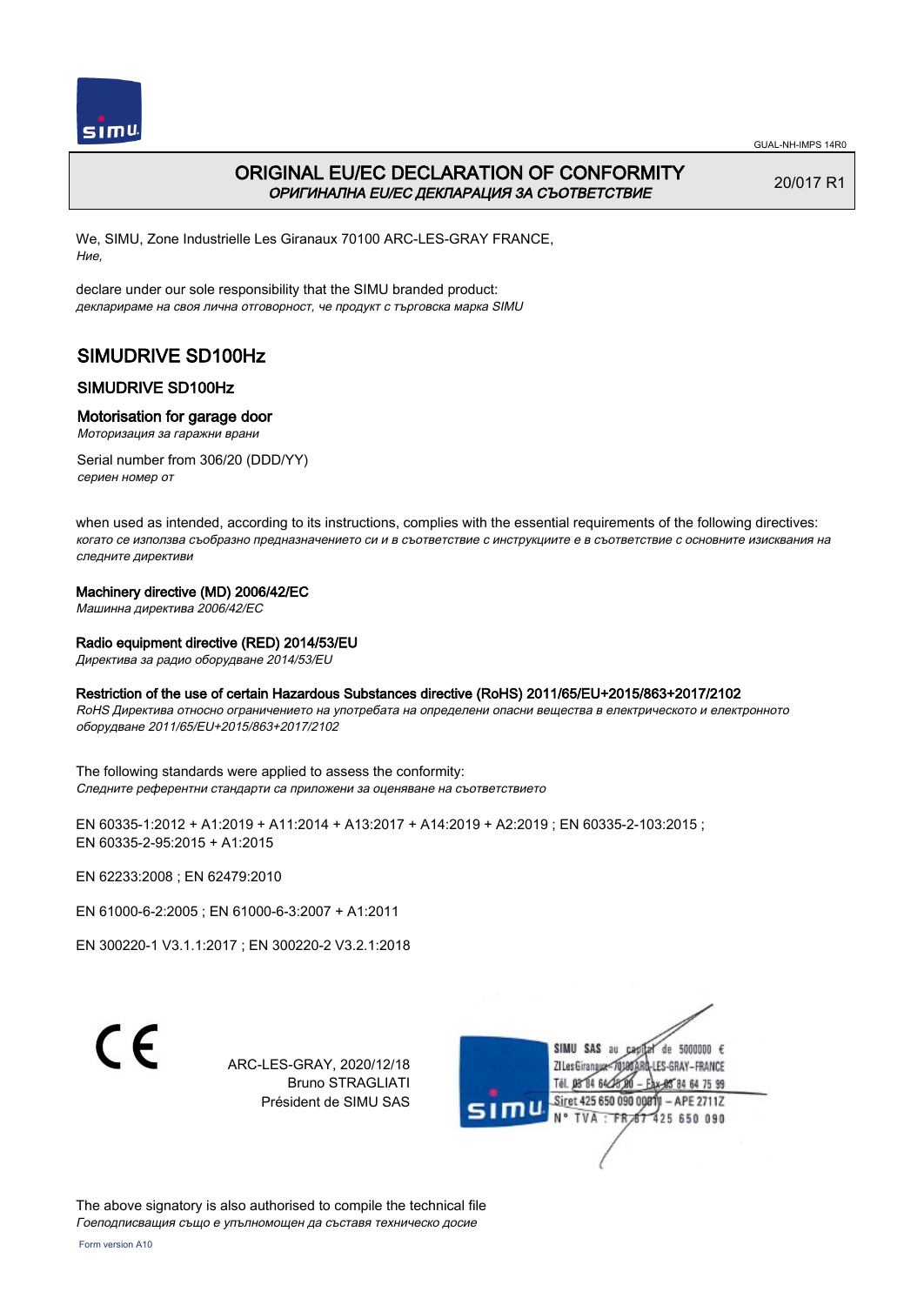

# ORIGINAL EU/EC DECLARATION OF CONFORMITY ОРИГИНАЛНА EU/EC ДЕКЛАРАЦИЯ ЗА СЪОТВЕТСТВИЕ

20/017 R1

We, SIMU, Zone Industrielle Les Giranaux 70100 ARC-LES-GRAY FRANCE, Ние,

declare under our sole responsibility that the SIMU branded product: декларираме на своя лична отговорност, че продукт с търговска марка SIMU

# SIMUDRIVE SD100Hz

# SIMUDRIVE SD100Hz

### Motorisation for garage door

Моторизация за гаражни врани

Serial number from 306/20 (DDD/YY) сериен номер от

when used as intended, according to its instructions, complies with the essential requirements of the following directives: когато се използва съобразно предназначението си и в съответствие с инструкциите е в съответствие с основните изисквания на следните директиви

### Machinery directive (MD) 2006/42/EC

Машинна директива 2006/42/EC

### Radio equipment directive (RED) 2014/53/EU

Директива за радио оборудване 2014/53/EU

## Restriction of the use of certain Hazardous Substances directive (RoHS) 2011/65/EU+2015/863+2017/2102

RoHS Директива относно ограничението на употребата на определени опасни вещества в електрическото и електронното оборудване 2011/65/EU+2015/863+2017/2102

The following standards were applied to assess the conformity: Следните референтни стандарти са приложени за оценяване на съответствието

EN 60335-1:2012 + A1:2019 + A11:2014 + A13:2017 + A14:2019 + A2:2019 ; EN 60335-2-103:2015 ; EN 60335‑2‑95:2015 + A1:2015

EN 62233:2008 ; EN 62479:2010

EN 61000‑6‑2:2005 ; EN 61000‑6‑3:2007 + A1:2011

EN 300220‑1 V3.1.1:2017 ; EN 300220‑2 V3.2.1:2018

C E

ARC-LES-GRAY, 2020/12/18 Bruno STRAGLIATI Président de SIMU SAS



The above signatory is also authorised to compile the technical file Гоеподписващия също е упълномощен да съставя техническо досие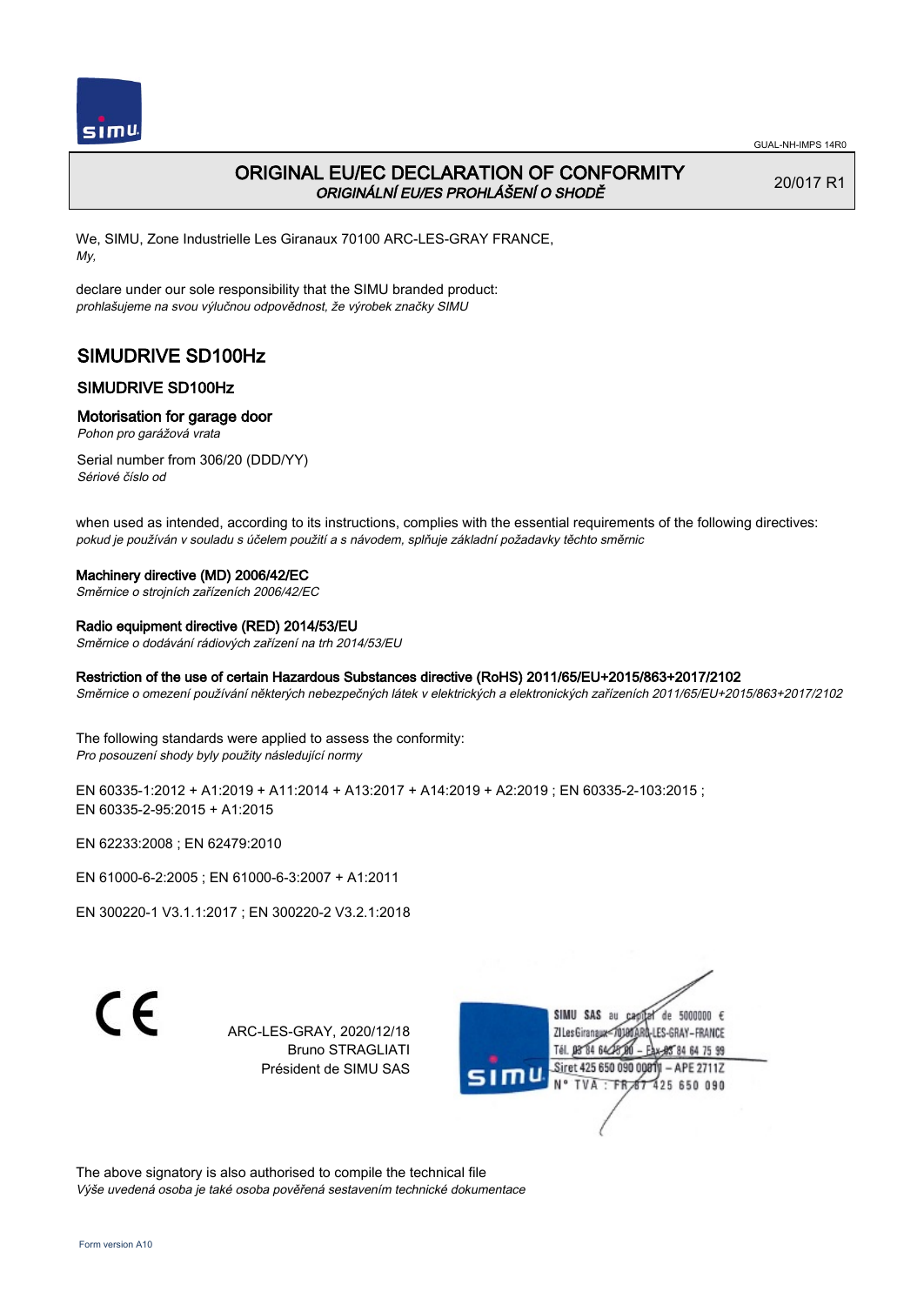

20/017 R1

# ORIGINAL EU/EC DECLARATION OF CONFORMITY ORIGINÁLNÍ EU/ES PROHLÁŠENÍ O SHODĚ

We, SIMU, Zone Industrielle Les Giranaux 70100 ARC-LES-GRAY FRANCE, My,

declare under our sole responsibility that the SIMU branded product: prohlašujeme na svou výlučnou odpovědnost, že výrobek značky SIMU

# SIMUDRIVE SD100Hz

# SIMUDRIVE SD100Hz

### Motorisation for garage door

Pohon pro garážová vrata

Serial number from 306/20 (DDD/YY) Sériové číslo od

when used as intended, according to its instructions, complies with the essential requirements of the following directives: pokud je používán v souladu s účelem použití a s návodem, splňuje základní požadavky těchto směrnic

## Machinery directive (MD) 2006/42/EC

Směrnice o strojních zařízeních 2006/42/EC

#### Radio equipment directive (RED) 2014/53/EU

Směrnice o dodávání rádiových zařízení na trh 2014/53/EU

### Restriction of the use of certain Hazardous Substances directive (RoHS) 2011/65/EU+2015/863+2017/2102

Směrnice o omezení používání některých nebezpečných látek v elektrických a elektronických zařízeních 2011/65/EU+2015/863+2017/2102

The following standards were applied to assess the conformity: Pro posouzení shody byly použity následující normy

EN 60335-1:2012 + A1:2019 + A11:2014 + A13:2017 + A14:2019 + A2:2019 ; EN 60335-2-103:2015 ; EN 60335‑2‑95:2015 + A1:2015

EN 62233:2008 ; EN 62479:2010

EN 61000‑6‑2:2005 ; EN 61000‑6‑3:2007 + A1:2011

EN 300220‑1 V3.1.1:2017 ; EN 300220‑2 V3.2.1:2018

C E

ARC-LES-GRAY, 2020/12/18 Bruno STRAGLIATI Président de SIMU SAS



The above signatory is also authorised to compile the technical file Výše uvedená osoba je také osoba pověřená sestavením technické dokumentace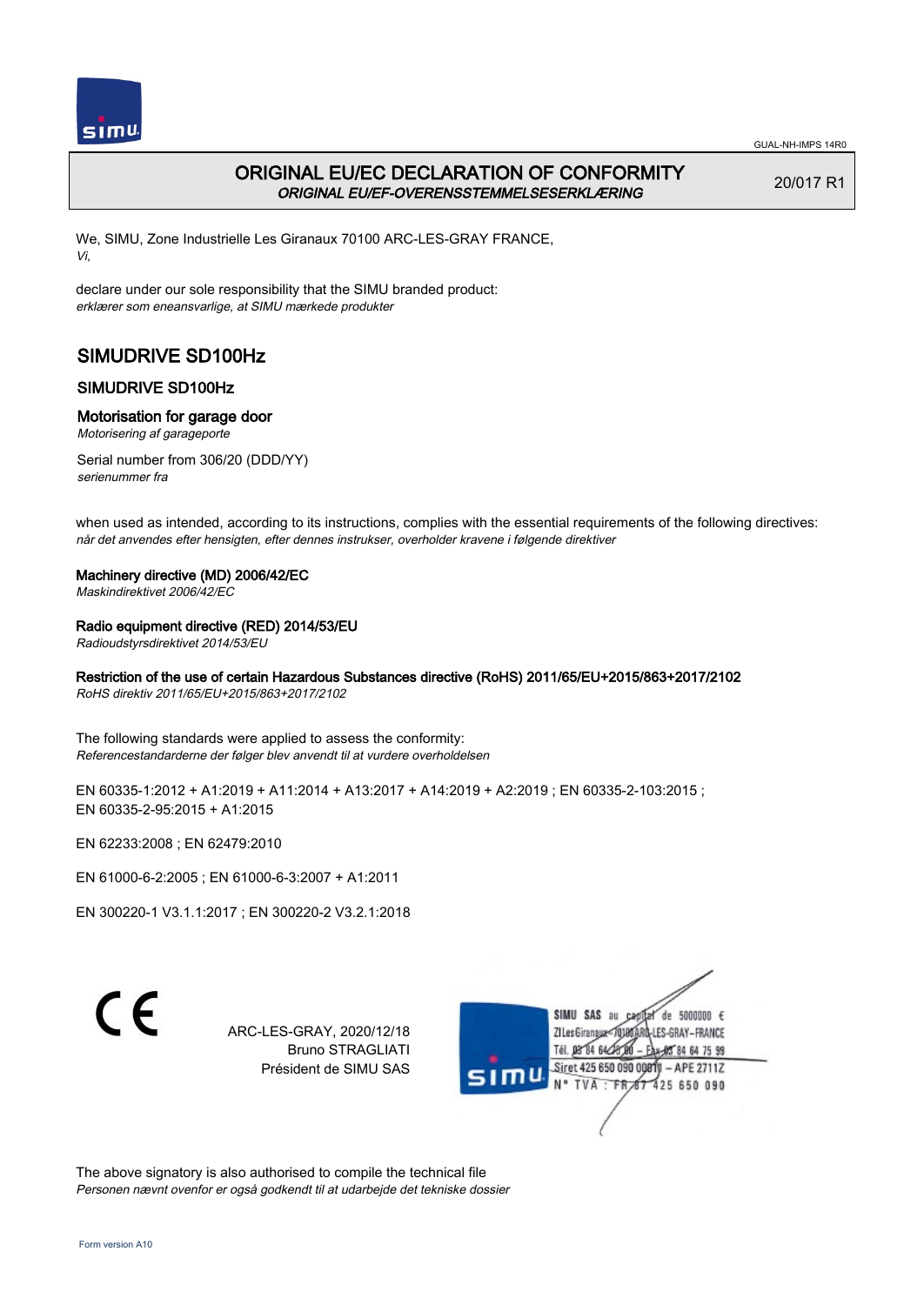

# ORIGINAL EU/EC DECLARATION OF CONFORMITY ORIGINAL EU/EF-OVERENSSTEMMELSESERKLÆRING

20/017 R1

We, SIMU, Zone Industrielle Les Giranaux 70100 ARC-LES-GRAY FRANCE, Vi,

declare under our sole responsibility that the SIMU branded product: erklærer som eneansvarlige, at SIMU mærkede produkter

# SIMUDRIVE SD100Hz

# SIMUDRIVE SD100Hz

## Motorisation for garage door

Motorisering af garageporte

Serial number from 306/20 (DDD/YY) serienummer fra

when used as intended, according to its instructions, complies with the essential requirements of the following directives: når det anvendes efter hensigten, efter dennes instrukser, overholder kravene i følgende direktiver

## Machinery directive (MD) 2006/42/EC

Maskindirektivet 2006/42/EC

## Radio equipment directive (RED) 2014/53/EU

Radioudstyrsdirektivet 2014/53/EU

# Restriction of the use of certain Hazardous Substances directive (RoHS) 2011/65/EU+2015/863+2017/2102

RoHS direktiv 2011/65/EU+2015/863+2017/2102

The following standards were applied to assess the conformity: Referencestandarderne der følger blev anvendt til at vurdere overholdelsen

EN 60335-1:2012 + A1:2019 + A11:2014 + A13:2017 + A14:2019 + A2:2019 ; EN 60335-2-103:2015 ; EN 60335‑2‑95:2015 + A1:2015

EN 62233:2008 ; EN 62479:2010

EN 61000‑6‑2:2005 ; EN 61000‑6‑3:2007 + A1:2011

EN 300220‑1 V3.1.1:2017 ; EN 300220‑2 V3.2.1:2018

C E

ARC-LES-GRAY, 2020/12/18 Bruno STRAGLIATI Président de SIMU SAS



The above signatory is also authorised to compile the technical file Personen nævnt ovenfor er også godkendt til at udarbejde det tekniske dossier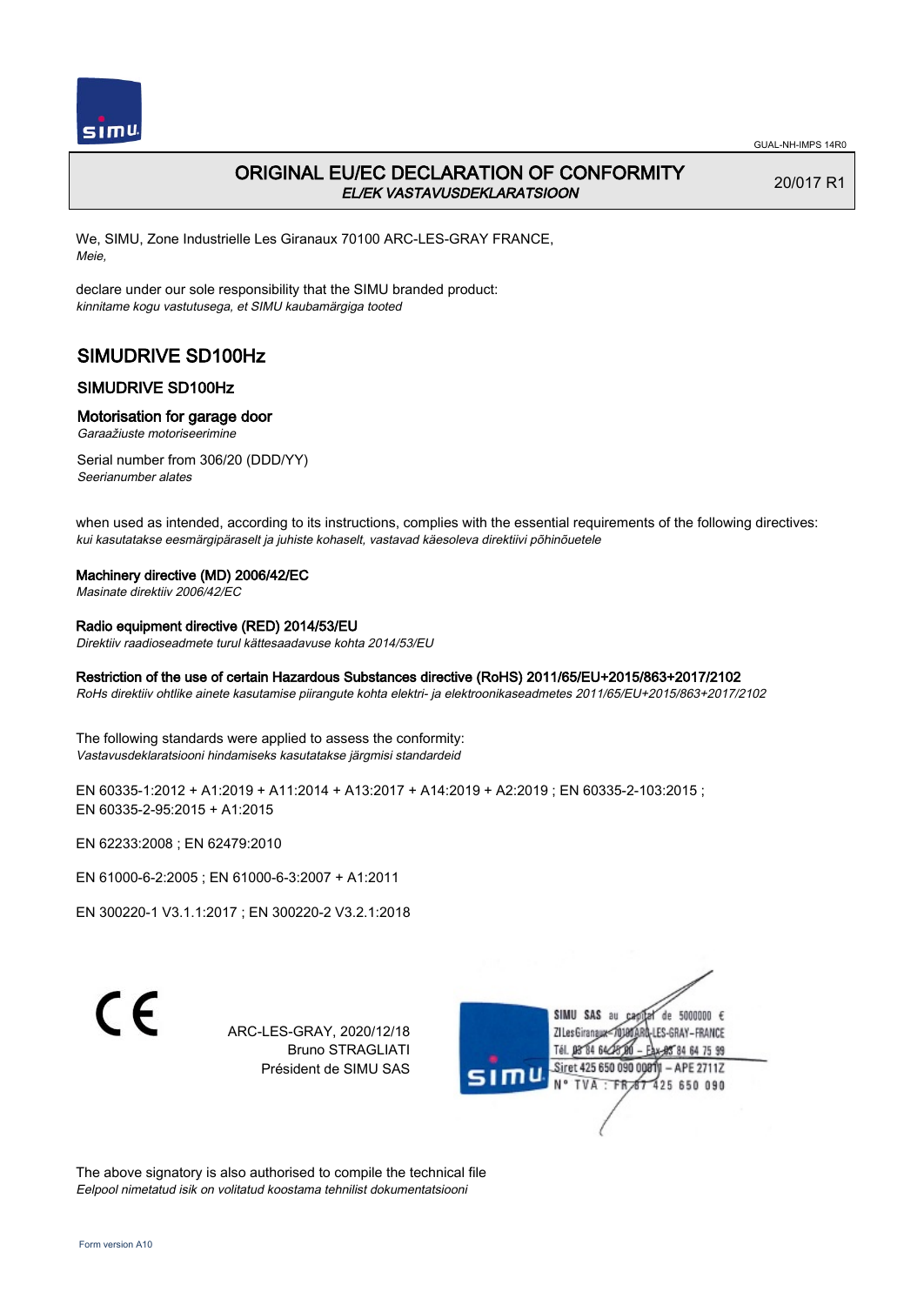

20/017 R1

# ORIGINAL EU/EC DECLARATION OF CONFORMITY EL/EK VASTAVUSDEKLARATSIOON

We, SIMU, Zone Industrielle Les Giranaux 70100 ARC-LES-GRAY FRANCE, Meie,

declare under our sole responsibility that the SIMU branded product: kinnitame kogu vastutusega, et SIMU kaubamärgiga tooted

# SIMUDRIVE SD100Hz

# SIMUDRIVE SD100Hz

### Motorisation for garage door

Garaažiuste motoriseerimine

Serial number from 306/20 (DDD/YY) Seerianumber alates

when used as intended, according to its instructions, complies with the essential requirements of the following directives: kui kasutatakse eesmärgipäraselt ja juhiste kohaselt, vastavad käesoleva direktiivi põhinõuetele

### Machinery directive (MD) 2006/42/EC

Masinate direktiiv 2006/42/EC

### Radio equipment directive (RED) 2014/53/EU

Direktiiv raadioseadmete turul kättesaadavuse kohta 2014/53/EU

### Restriction of the use of certain Hazardous Substances directive (RoHS) 2011/65/EU+2015/863+2017/2102

RoHs direktiiv ohtlike ainete kasutamise piirangute kohta elektri- ja elektroonikaseadmetes 2011/65/EU+2015/863+2017/2102

The following standards were applied to assess the conformity: Vastavusdeklaratsiooni hindamiseks kasutatakse järgmisi standardeid

EN 60335-1:2012 + A1:2019 + A11:2014 + A13:2017 + A14:2019 + A2:2019 ; EN 60335-2-103:2015 ; EN 60335‑2‑95:2015 + A1:2015

EN 62233:2008 ; EN 62479:2010

EN 61000‑6‑2:2005 ; EN 61000‑6‑3:2007 + A1:2011

EN 300220‑1 V3.1.1:2017 ; EN 300220‑2 V3.2.1:2018

C E

ARC-LES-GRAY, 2020/12/18 Bruno STRAGLIATI Président de SIMU SAS



The above signatory is also authorised to compile the technical file Eelpool nimetatud isik on volitatud koostama tehnilist dokumentatsiooni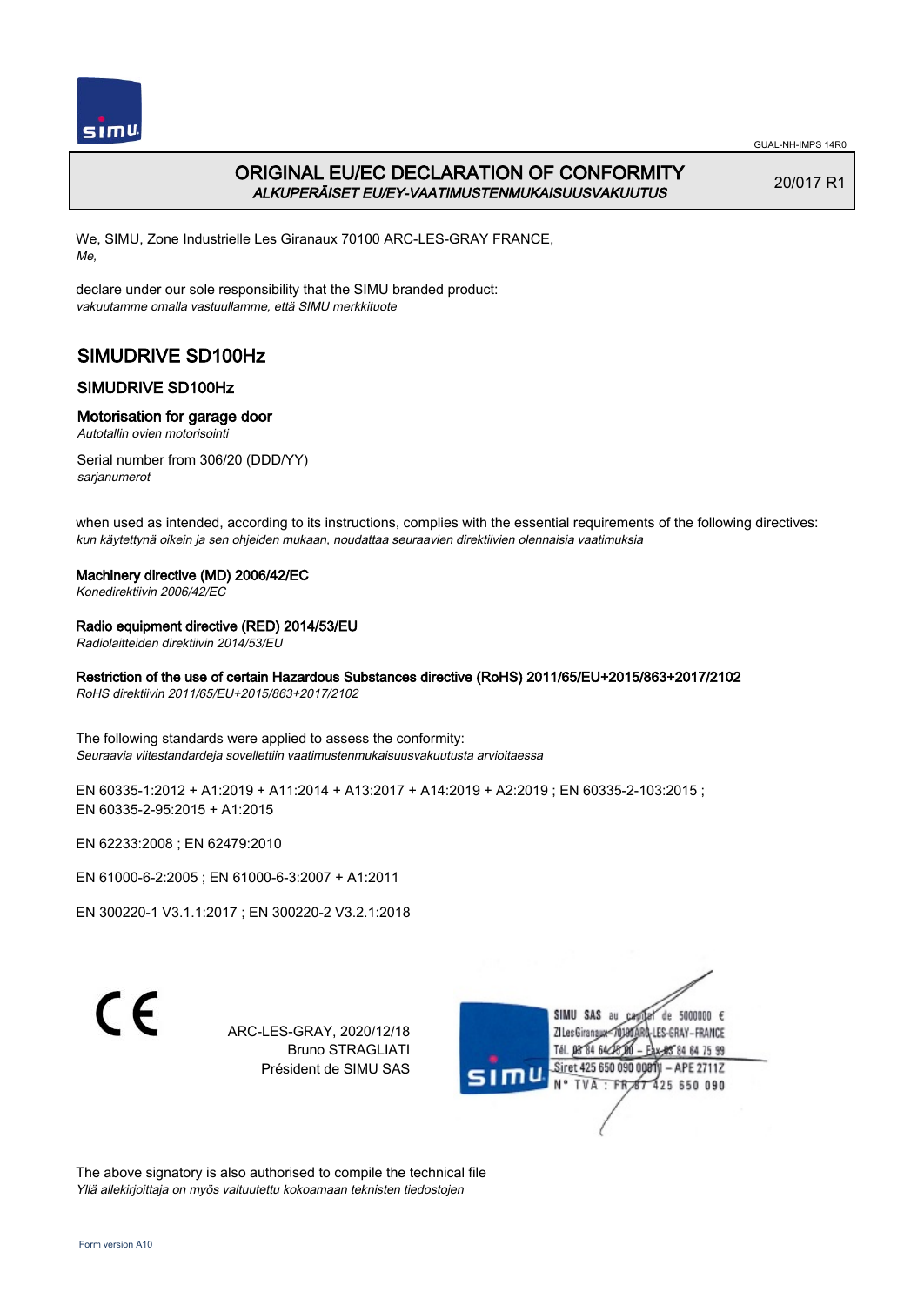

# ORIGINAL EU/EC DECLARATION OF CONFORMITY ALKUPERÄISET EU/EY-VAATIMUSTENMUKAISUUSVAKUUTUS

20/017 R1

We, SIMU, Zone Industrielle Les Giranaux 70100 ARC-LES-GRAY FRANCE, Me,

declare under our sole responsibility that the SIMU branded product: vakuutamme omalla vastuullamme, että SIMU merkkituote

# SIMUDRIVE SD100Hz

# SIMUDRIVE SD100Hz

## Motorisation for garage door

Autotallin ovien motorisointi

Serial number from 306/20 (DDD/YY) sarjanumerot

when used as intended, according to its instructions, complies with the essential requirements of the following directives: kun käytettynä oikein ja sen ohjeiden mukaan, noudattaa seuraavien direktiivien olennaisia vaatimuksia

## Machinery directive (MD) 2006/42/EC

Konedirektiivin 2006/42/EC

## Radio equipment directive (RED) 2014/53/EU

Radiolaitteiden direktiivin 2014/53/EU

# Restriction of the use of certain Hazardous Substances directive (RoHS) 2011/65/EU+2015/863+2017/2102

RoHS direktiivin 2011/65/EU+2015/863+2017/2102

The following standards were applied to assess the conformity: Seuraavia viitestandardeja sovellettiin vaatimustenmukaisuusvakuutusta arvioitaessa

EN 60335-1:2012 + A1:2019 + A11:2014 + A13:2017 + A14:2019 + A2:2019 ; EN 60335-2-103:2015 ; EN 60335‑2‑95:2015 + A1:2015

EN 62233:2008 ; EN 62479:2010

EN 61000‑6‑2:2005 ; EN 61000‑6‑3:2007 + A1:2011

EN 300220‑1 V3.1.1:2017 ; EN 300220‑2 V3.2.1:2018

CE

ARC-LES-GRAY, 2020/12/18 Bruno STRAGLIATI Président de SIMU SAS



The above signatory is also authorised to compile the technical file Yllä allekirjoittaja on myös valtuutettu kokoamaan teknisten tiedostojen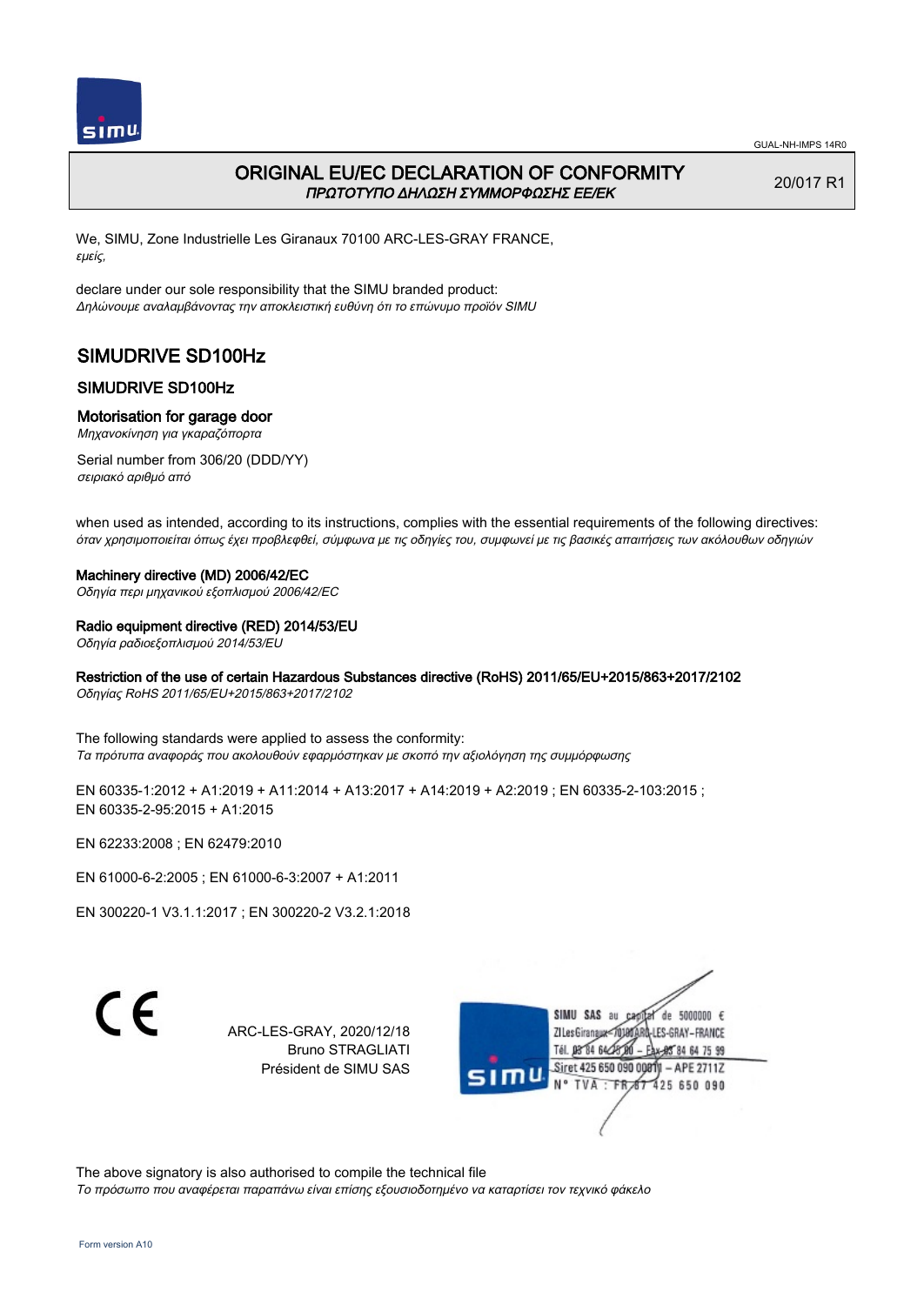

# ORIGINAL EU/EC DECLARATION OF CONFORMITY ΠΡΩΤΟΤΥΠΟ ΔΗΛΩΣΗ ΣΥΜΜΟΡΦΩΣΗΣ ΕΕ/EK

20/017 R1

We, SIMU, Zone Industrielle Les Giranaux 70100 ARC-LES-GRAY FRANCE, εμείς,

declare under our sole responsibility that the SIMU branded product: Δηλώνουμε αναλαμβάνοντας την αποκλειστική ευθύνη ότι το επώνυμο προϊόν SIMU

# SIMUDRIVE SD100Hz

## SIMUDRIVE SD100Hz

### Motorisation for garage door

Μηχανοκίνηση για γκαραζόπορτα

Serial number from 306/20 (DDD/YY) σειριακό αριθμό από

when used as intended, according to its instructions, complies with the essential requirements of the following directives: όταν χρησιμοποιείται όπως έχει προβλεφθεί, σύμφωνα με τις οδηγίες του, συμφωνεί με τις βασικές απαιτήσεις των ακόλουθων οδηγιών

#### Machinery directive (MD) 2006/42/EC

Οδηγία περι μηχανικού εξοπλισμού 2006/42/EC

#### Radio equipment directive (RED) 2014/53/EU

Οδηγία ραδιοεξοπλισμού 2014/53/EU

#### Restriction of the use of certain Hazardous Substances directive (RoHS) 2011/65/EU+2015/863+2017/2102

Οδηγίας RoHS 2011/65/EU+2015/863+2017/2102

The following standards were applied to assess the conformity: Τα πρότυπα αναφοράς που ακολουθούν εφαρμόστηκαν με σκοπό την αξιολόγηση της συμμόρφωσης

EN 60335-1:2012 + A1:2019 + A11:2014 + A13:2017 + A14:2019 + A2:2019 ; EN 60335-2-103:2015 ; EN 60335‑2‑95:2015 + A1:2015

EN 62233:2008 ; EN 62479:2010

EN 61000‑6‑2:2005 ; EN 61000‑6‑3:2007 + A1:2011

EN 300220‑1 V3.1.1:2017 ; EN 300220‑2 V3.2.1:2018

C E

ARC-LES-GRAY, 2020/12/18 Bruno STRAGLIATI Président de SIMU SAS



The above signatory is also authorised to compile the technical file

Το πρόσωπο που αναφέρεται παραπάνω είναι επίσης εξουσιοδοτημένο να καταρτίσει τον τεχνικό φάκελο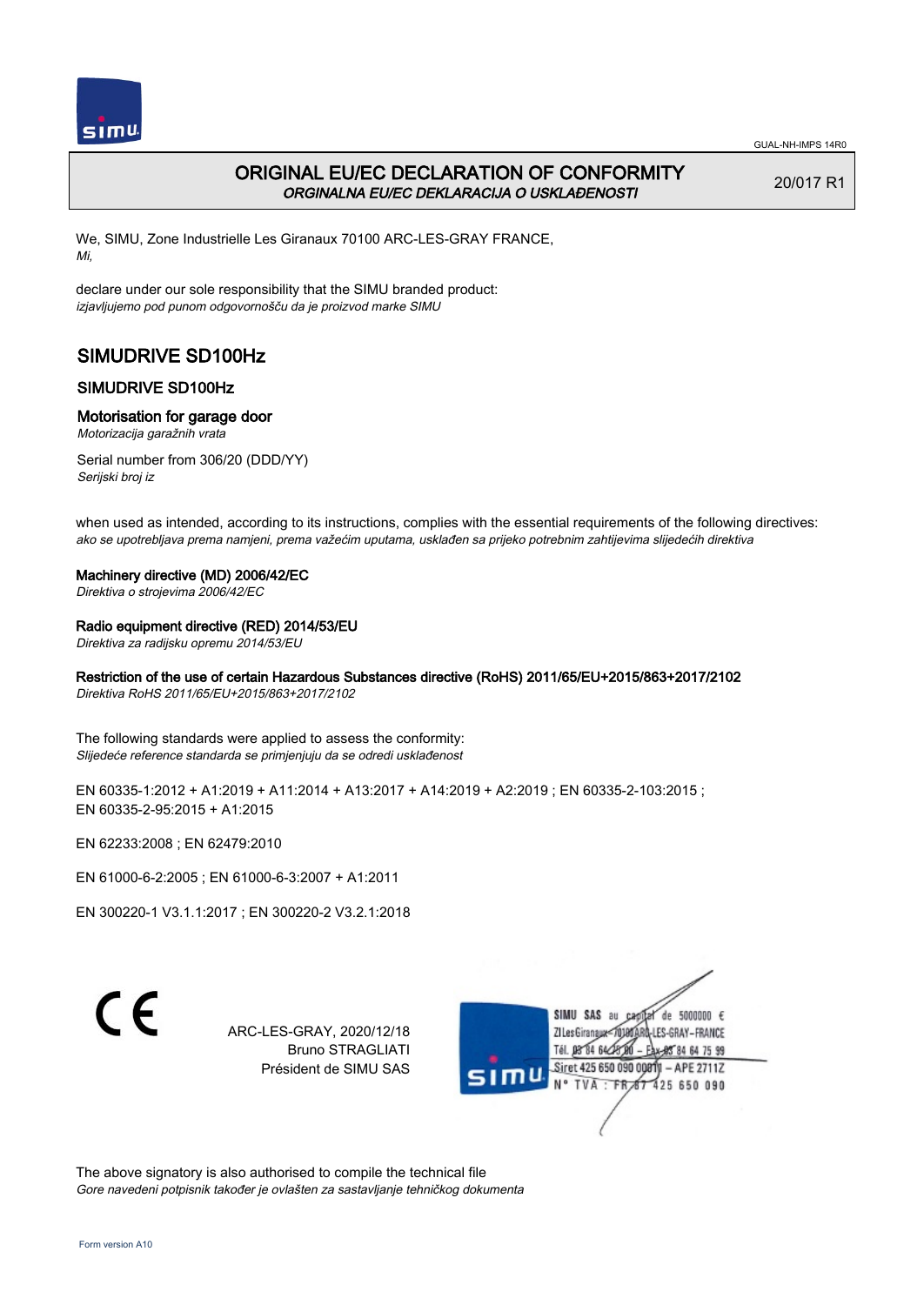

# ORIGINAL EU/EC DECLARATION OF CONFORMITY ORGINALNA EU/EC DEKLARACIJA O USKLAĐENOSTI

20/017 R1

We, SIMU, Zone Industrielle Les Giranaux 70100 ARC-LES-GRAY FRANCE, Mi,

declare under our sole responsibility that the SIMU branded product: izjavljujemo pod punom odgovornošču da je proizvod marke SIMU

# SIMUDRIVE SD100Hz

# SIMUDRIVE SD100Hz

### Motorisation for garage door

Motorizacija garažnih vrata

Serial number from 306/20 (DDD/YY) Serijski broj iz

when used as intended, according to its instructions, complies with the essential requirements of the following directives: ako se upotrebljava prema namjeni, prema važećim uputama, usklađen sa prijeko potrebnim zahtijevima slijedećih direktiva

#### Machinery directive (MD) 2006/42/EC

Direktiva o strojevima 2006/42/EC

### Radio equipment directive (RED) 2014/53/EU

Direktiva za radijsku opremu 2014/53/EU

## Restriction of the use of certain Hazardous Substances directive (RoHS) 2011/65/EU+2015/863+2017/2102

Direktiva RoHS 2011/65/EU+2015/863+2017/2102

The following standards were applied to assess the conformity: Slijedeće reference standarda se primjenjuju da se odredi usklađenost

EN 60335-1:2012 + A1:2019 + A11:2014 + A13:2017 + A14:2019 + A2:2019 ; EN 60335-2-103:2015 ; EN 60335‑2‑95:2015 + A1:2015

EN 62233:2008 ; EN 62479:2010

EN 61000‑6‑2:2005 ; EN 61000‑6‑3:2007 + A1:2011

EN 300220‑1 V3.1.1:2017 ; EN 300220‑2 V3.2.1:2018

C E

ARC-LES-GRAY, 2020/12/18 Bruno STRAGLIATI Président de SIMU SAS



The above signatory is also authorised to compile the technical file Gore navedeni potpisnik također je ovlašten za sastavljanje tehničkog dokumenta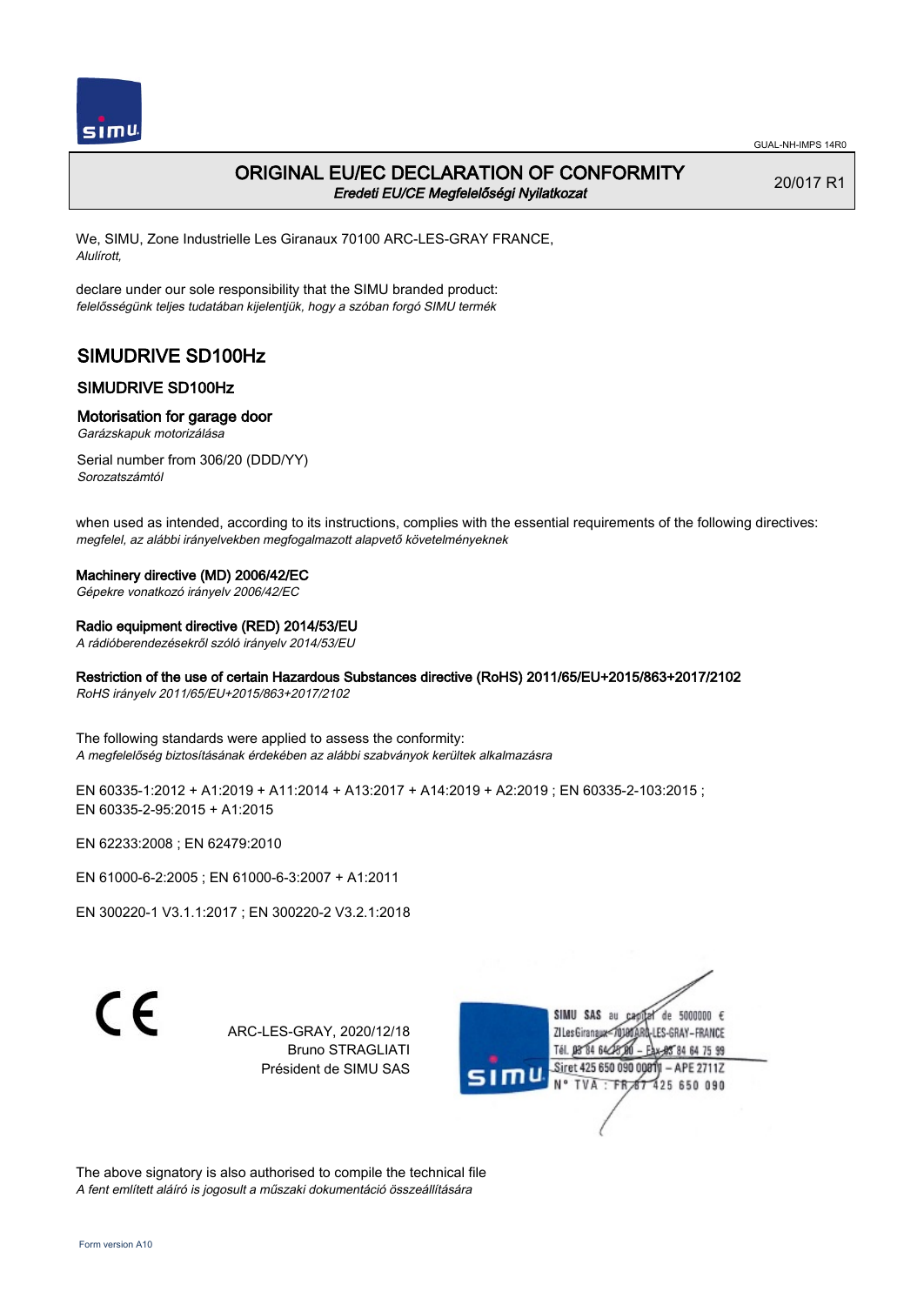

# ORIGINAL EU/EC DECLARATION OF CONFORMITY Eredeti EU/CE Megfelelőségi Nyilatkozat

20/017 R1

We, SIMU, Zone Industrielle Les Giranaux 70100 ARC-LES-GRAY FRANCE, Alulírott,

declare under our sole responsibility that the SIMU branded product: felelősségünk teljes tudatában kijelentjük, hogy a szóban forgó SIMU termék

# SIMUDRIVE SD100Hz

# SIMUDRIVE SD100Hz

### Motorisation for garage door

Garázskapuk motorizálása

Serial number from 306/20 (DDD/YY) Sorozatszámtól

when used as intended, according to its instructions, complies with the essential requirements of the following directives: megfelel, az alábbi irányelvekben megfogalmazott alapvető követelményeknek

## Machinery directive (MD) 2006/42/EC

Gépekre vonatkozó irányelv 2006/42/EC

# Radio equipment directive (RED) 2014/53/EU

A rádióberendezésekről szóló irányelv 2014/53/EU

## Restriction of the use of certain Hazardous Substances directive (RoHS) 2011/65/EU+2015/863+2017/2102

RoHS irányelv 2011/65/EU+2015/863+2017/2102

The following standards were applied to assess the conformity: A megfelelőség biztosításának érdekében az alábbi szabványok kerültek alkalmazásra

EN 60335-1:2012 + A1:2019 + A11:2014 + A13:2017 + A14:2019 + A2:2019 ; EN 60335-2-103:2015 ; EN 60335‑2‑95:2015 + A1:2015

EN 62233:2008 ; EN 62479:2010

EN 61000‑6‑2:2005 ; EN 61000‑6‑3:2007 + A1:2011

EN 300220‑1 V3.1.1:2017 ; EN 300220‑2 V3.2.1:2018

C E

ARC-LES-GRAY, 2020/12/18 Bruno STRAGLIATI Président de SIMU SAS



The above signatory is also authorised to compile the technical file A fent említett aláíró is jogosult a műszaki dokumentáció összeállítására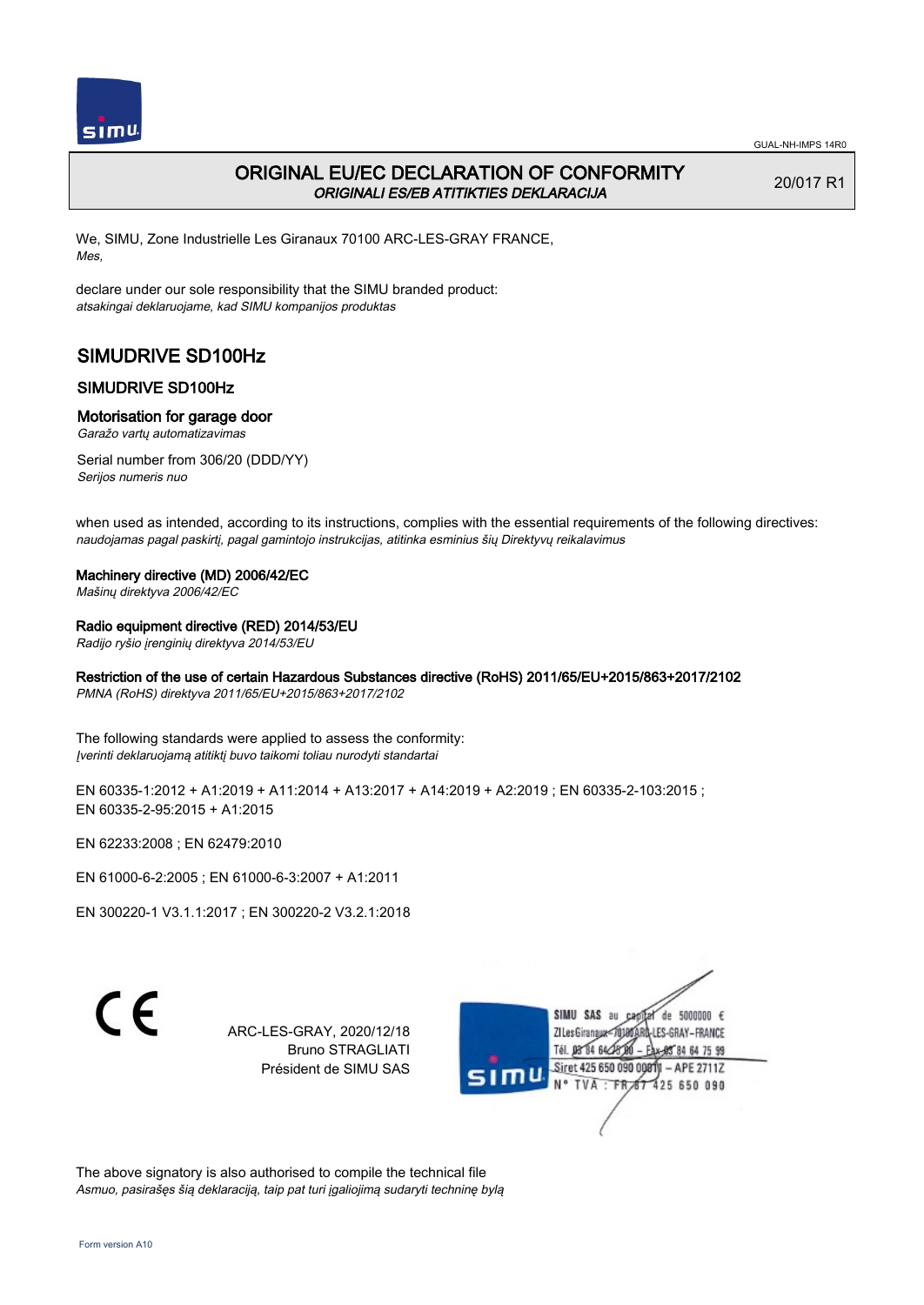

# ORIGINAL EU/EC DECLARATION OF CONFORMITY ORIGINALI ES/EB ATITIKTIES DEKLARACIJA

20/017 R1

We, SIMU, Zone Industrielle Les Giranaux 70100 ARC-LES-GRAY FRANCE, Mes,

declare under our sole responsibility that the SIMU branded product: atsakingai deklaruojame, kad SIMU kompanijos produktas

# SIMUDRIVE SD100Hz

# SIMUDRIVE SD100Hz

### Motorisation for garage door

Garažo vartų automatizavimas

Serial number from 306/20 (DDD/YY) Serijos numeris nuo

when used as intended, according to its instructions, complies with the essential requirements of the following directives: naudojamas pagal paskirtį, pagal gamintojo instrukcijas, atitinka esminius šių Direktyvų reikalavimus

### Machinery directive (MD) 2006/42/EC

Mašinų direktyva 2006/42/EC

### Radio equipment directive (RED) 2014/53/EU

Radijo ryšio įrenginių direktyva 2014/53/EU

## Restriction of the use of certain Hazardous Substances directive (RoHS) 2011/65/EU+2015/863+2017/2102

PMNA (RoHS) direktyva 2011/65/EU+2015/863+2017/2102

The following standards were applied to assess the conformity: Įverinti deklaruojamą atitiktį buvo taikomi toliau nurodyti standartai

EN 60335-1:2012 + A1:2019 + A11:2014 + A13:2017 + A14:2019 + A2:2019 ; EN 60335-2-103:2015 ; EN 60335‑2‑95:2015 + A1:2015

EN 62233:2008 ; EN 62479:2010

EN 61000‑6‑2:2005 ; EN 61000‑6‑3:2007 + A1:2011

EN 300220‑1 V3.1.1:2017 ; EN 300220‑2 V3.2.1:2018

C E

ARC-LES-GRAY, 2020/12/18 Bruno STRAGLIATI Président de SIMU SAS



The above signatory is also authorised to compile the technical file Asmuo, pasirašęs šią deklaraciją, taip pat turi įgaliojimą sudaryti techninę bylą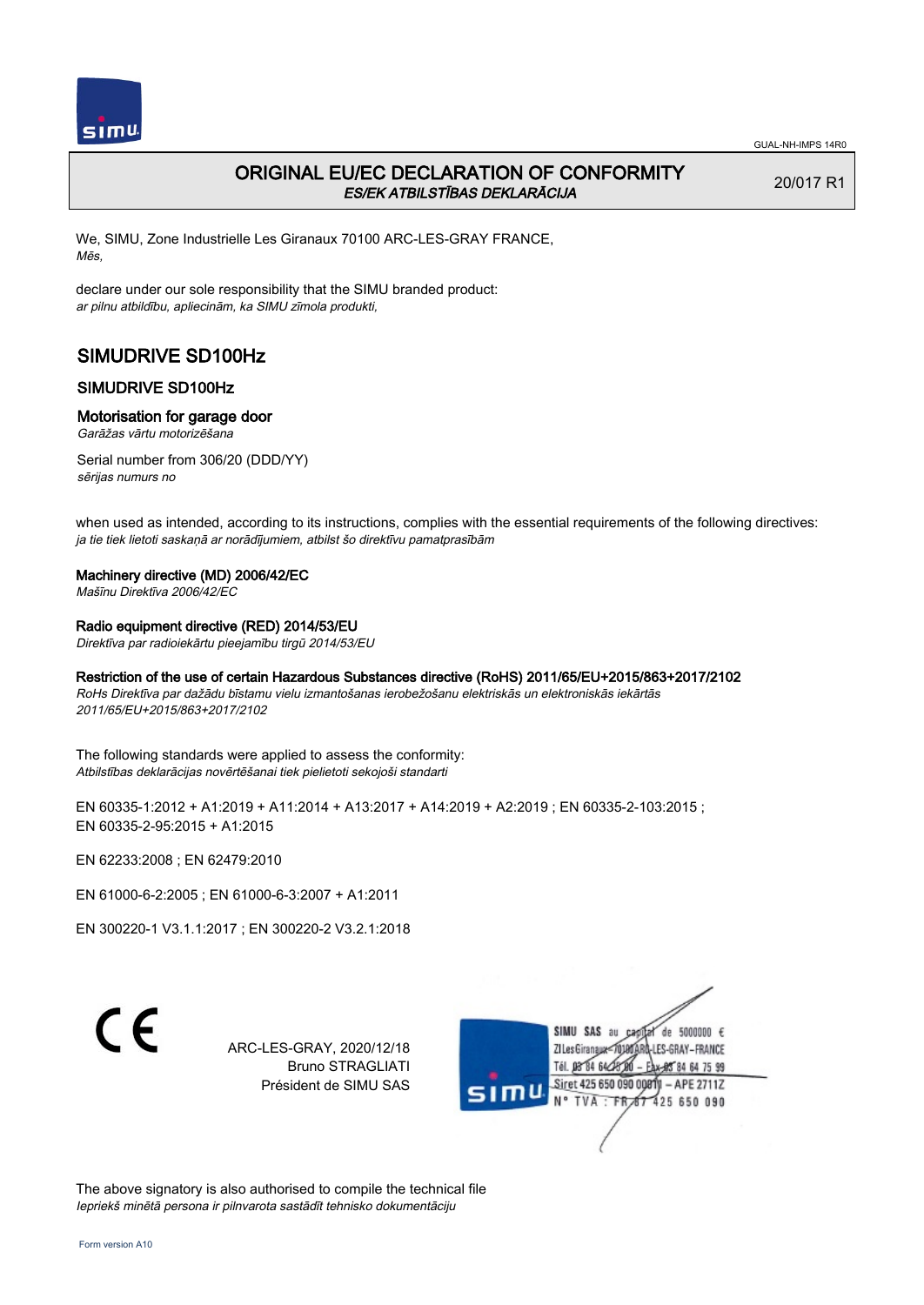

# ORIGINAL EU/EC DECLARATION OF CONFORMITY ES/EK ATBILSTĪBAS DEKLARĀCIJA

20/017 R1

We, SIMU, Zone Industrielle Les Giranaux 70100 ARC-LES-GRAY FRANCE, Mēs,

declare under our sole responsibility that the SIMU branded product: ar pilnu atbildību, apliecinām, ka SIMU zīmola produkti,

# SIMUDRIVE SD100Hz

# SIMUDRIVE SD100Hz

### Motorisation for garage door

Garāžas vārtu motorizēšana

Serial number from 306/20 (DDD/YY) sērijas numurs no

when used as intended, according to its instructions, complies with the essential requirements of the following directives: ja tie tiek lietoti saskaņā ar norādījumiem, atbilst šo direktīvu pamatprasībām

### Machinery directive (MD) 2006/42/EC

Mašīnu Direktīva 2006/42/EC

Radio equipment directive (RED) 2014/53/EU

Direktīva par radioiekārtu pieejamību tirgū 2014/53/EU

Restriction of the use of certain Hazardous Substances directive (RoHS) 2011/65/EU+2015/863+2017/2102

RoHs Direktīva par dažādu bīstamu vielu izmantošanas ierobežošanu elektriskās un elektroniskās iekārtās 2011/65/EU+2015/863+2017/2102

The following standards were applied to assess the conformity: Atbilstības deklarācijas novērtēšanai tiek pielietoti sekojoši standarti

EN 60335‑1:2012 + A1:2019 + A11:2014 + A13:2017 + A14:2019 + A2:2019 ; EN 60335‑2‑103:2015 ; EN 60335‑2‑95:2015 + A1:2015

EN 62233:2008 ; EN 62479:2010

EN 61000‑6‑2:2005 ; EN 61000‑6‑3:2007 + A1:2011

EN 300220‑1 V3.1.1:2017 ; EN 300220‑2 V3.2.1:2018

 $\epsilon$ 

ARC-LES-GRAY, 2020/12/18 Bruno STRAGLIATI Président de SIMU SAS



The above signatory is also authorised to compile the technical file Iepriekš minētā persona ir pilnvarota sastādīt tehnisko dokumentāciju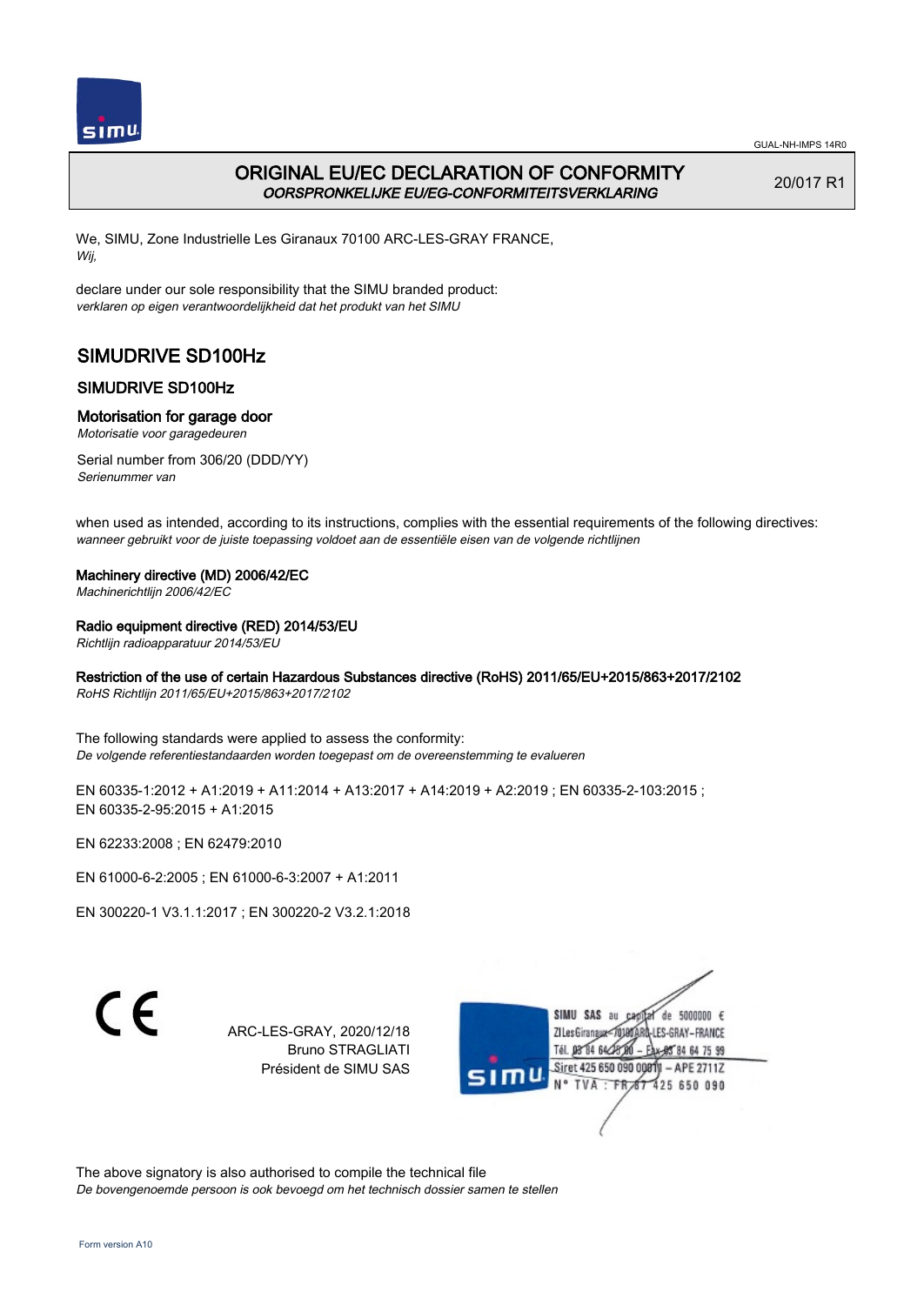

# ORIGINAL EU/EC DECLARATION OF CONFORMITY OORSPRONKELIJKE EU/EG-CONFORMITEITSVERKLARING

20/017 R1

We, SIMU, Zone Industrielle Les Giranaux 70100 ARC-LES-GRAY FRANCE, Wij,

declare under our sole responsibility that the SIMU branded product: verklaren op eigen verantwoordelijkheid dat het produkt van het SIMU

# SIMUDRIVE SD100Hz

# SIMUDRIVE SD100Hz

## Motorisation for garage door

Motorisatie voor garagedeuren

Serial number from 306/20 (DDD/YY) Serienummer van

when used as intended, according to its instructions, complies with the essential requirements of the following directives: wanneer gebruikt voor de juiste toepassing voldoet aan de essentiële eisen van de volgende richtlijnen

### Machinery directive (MD) 2006/42/EC

Machinerichtlijn 2006/42/EC

## Radio equipment directive (RED) 2014/53/EU

Richtlijn radioapparatuur 2014/53/EU

## Restriction of the use of certain Hazardous Substances directive (RoHS) 2011/65/EU+2015/863+2017/2102

RoHS Richtlijn 2011/65/EU+2015/863+2017/2102

The following standards were applied to assess the conformity: De volgende referentiestandaarden worden toegepast om de overeenstemming te evalueren

EN 60335-1:2012 + A1:2019 + A11:2014 + A13:2017 + A14:2019 + A2:2019 ; EN 60335-2-103:2015 ; EN 60335‑2‑95:2015 + A1:2015

EN 62233:2008 ; EN 62479:2010

EN 61000‑6‑2:2005 ; EN 61000‑6‑3:2007 + A1:2011

EN 300220‑1 V3.1.1:2017 ; EN 300220‑2 V3.2.1:2018

C E

ARC-LES-GRAY, 2020/12/18 Bruno STRAGLIATI Président de SIMU SAS



The above signatory is also authorised to compile the technical file De bovengenoemde persoon is ook bevoegd om het technisch dossier samen te stellen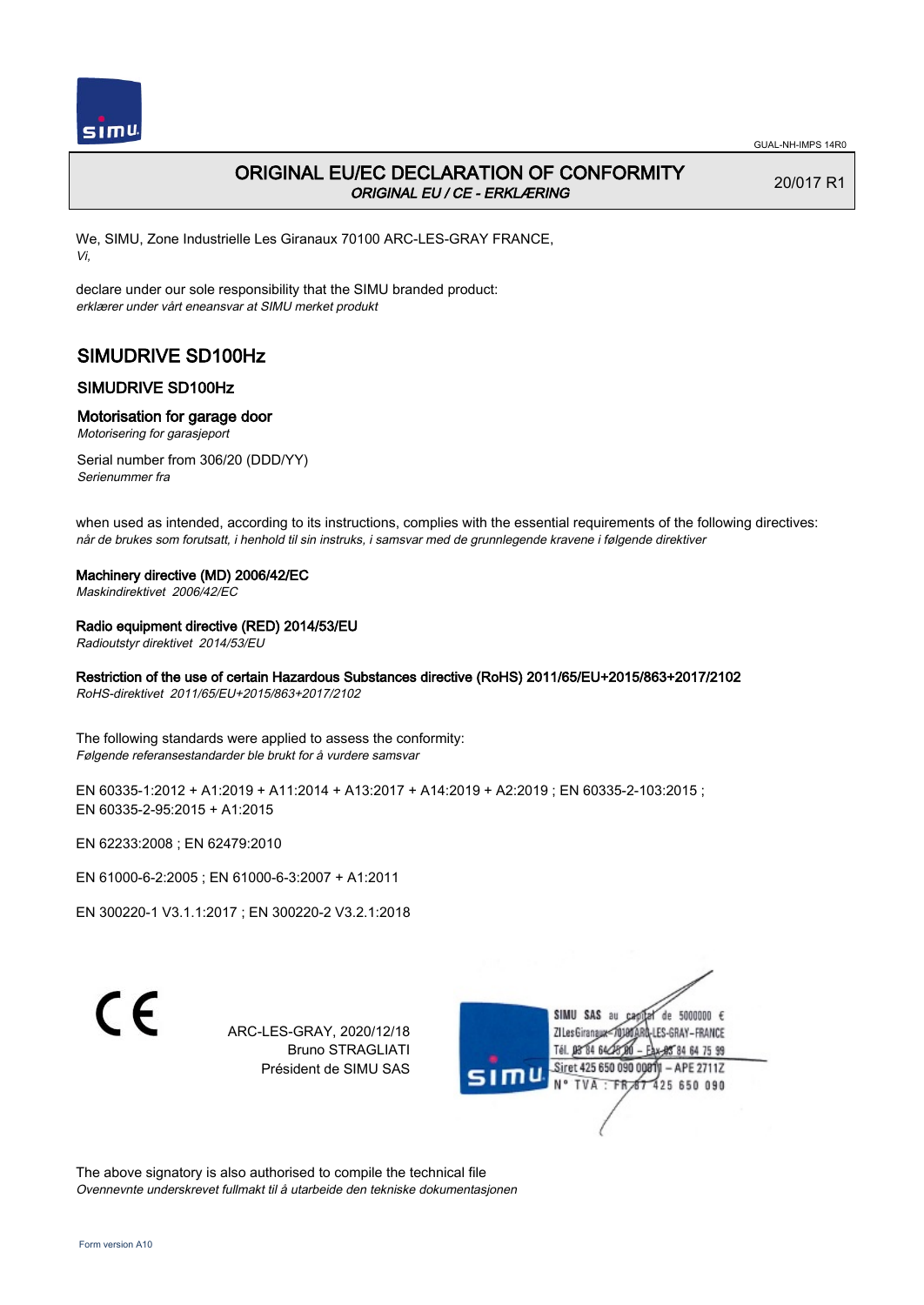

20/017 R1

# ORIGINAL EU/EC DECLARATION OF CONFORMITY ORIGINAL EU / CE - ERKLÆRING

We, SIMU, Zone Industrielle Les Giranaux 70100 ARC-LES-GRAY FRANCE, Vi,

declare under our sole responsibility that the SIMU branded product: erklærer under vårt eneansvar at SIMU merket produkt

# SIMUDRIVE SD100Hz

# SIMUDRIVE SD100Hz

### Motorisation for garage door

Motorisering for garasjeport

Serial number from 306/20 (DDD/YY) Serienummer fra

when used as intended, according to its instructions, complies with the essential requirements of the following directives: når de brukes som forutsatt, i henhold til sin instruks, i samsvar med de grunnlegende kravene i følgende direktiver

#### Machinery directive (MD) 2006/42/EC

Maskindirektivet 2006/42/EC

### Radio equipment directive (RED) 2014/53/EU

Radioutstyr direktivet 2014/53/EU

## Restriction of the use of certain Hazardous Substances directive (RoHS) 2011/65/EU+2015/863+2017/2102

RoHS-direktivet 2011/65/EU+2015/863+2017/2102

The following standards were applied to assess the conformity: Følgende referansestandarder ble brukt for å vurdere samsvar

EN 60335-1:2012 + A1:2019 + A11:2014 + A13:2017 + A14:2019 + A2:2019 ; EN 60335-2-103:2015 ; EN 60335‑2‑95:2015 + A1:2015

EN 62233:2008 ; EN 62479:2010

EN 61000‑6‑2:2005 ; EN 61000‑6‑3:2007 + A1:2011

EN 300220‑1 V3.1.1:2017 ; EN 300220‑2 V3.2.1:2018

C E

ARC-LES-GRAY, 2020/12/18 Bruno STRAGLIATI Président de SIMU SAS



The above signatory is also authorised to compile the technical file Ovennevnte underskrevet fullmakt til å utarbeide den tekniske dokumentasjonen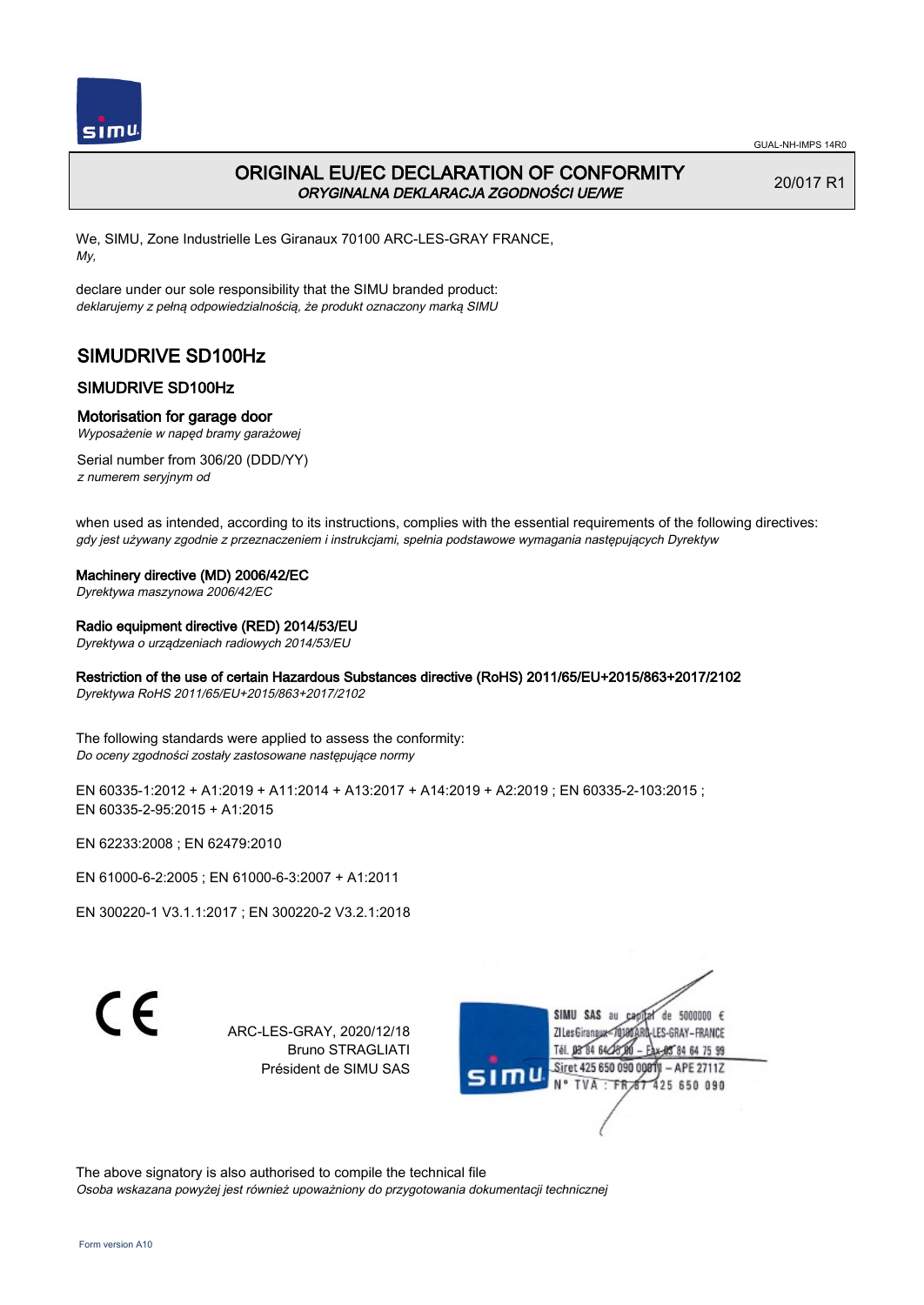

# ORIGINAL EU/EC DECLARATION OF CONFORMITY ORYGINALNA DEKLARACJA ZGODNOŚCI UE/WE

20/017 R1

We, SIMU, Zone Industrielle Les Giranaux 70100 ARC-LES-GRAY FRANCE, My,

declare under our sole responsibility that the SIMU branded product: deklarujemy z pełną odpowiedzialnością, że produkt oznaczony marką SIMU

# SIMUDRIVE SD100Hz

# SIMUDRIVE SD100Hz

### Motorisation for garage door

Wyposażenie w napęd bramy garażowej

Serial number from 306/20 (DDD/YY) z numerem seryjnym od

when used as intended, according to its instructions, complies with the essential requirements of the following directives: gdy jest używany zgodnie z przeznaczeniem i instrukcjami, spełnia podstawowe wymagania następujących Dyrektyw

## Machinery directive (MD) 2006/42/EC

Dyrektywa maszynowa 2006/42/EC

### Radio equipment directive (RED) 2014/53/EU

Dyrektywa o urządzeniach radiowych 2014/53/EU

## Restriction of the use of certain Hazardous Substances directive (RoHS) 2011/65/EU+2015/863+2017/2102

Dyrektywa RoHS 2011/65/EU+2015/863+2017/2102

The following standards were applied to assess the conformity: Do oceny zgodności zostały zastosowane następujące normy

EN 60335-1:2012 + A1:2019 + A11:2014 + A13:2017 + A14:2019 + A2:2019 ; EN 60335-2-103:2015 ; EN 60335‑2‑95:2015 + A1:2015

EN 62233:2008 ; EN 62479:2010

EN 61000‑6‑2:2005 ; EN 61000‑6‑3:2007 + A1:2011

EN 300220‑1 V3.1.1:2017 ; EN 300220‑2 V3.2.1:2018

C E

ARC-LES-GRAY, 2020/12/18 Bruno STRAGLIATI Président de SIMU SAS



The above signatory is also authorised to compile the technical file Osoba wskazana powyżej jest również upoważniony do przygotowania dokumentacji technicznej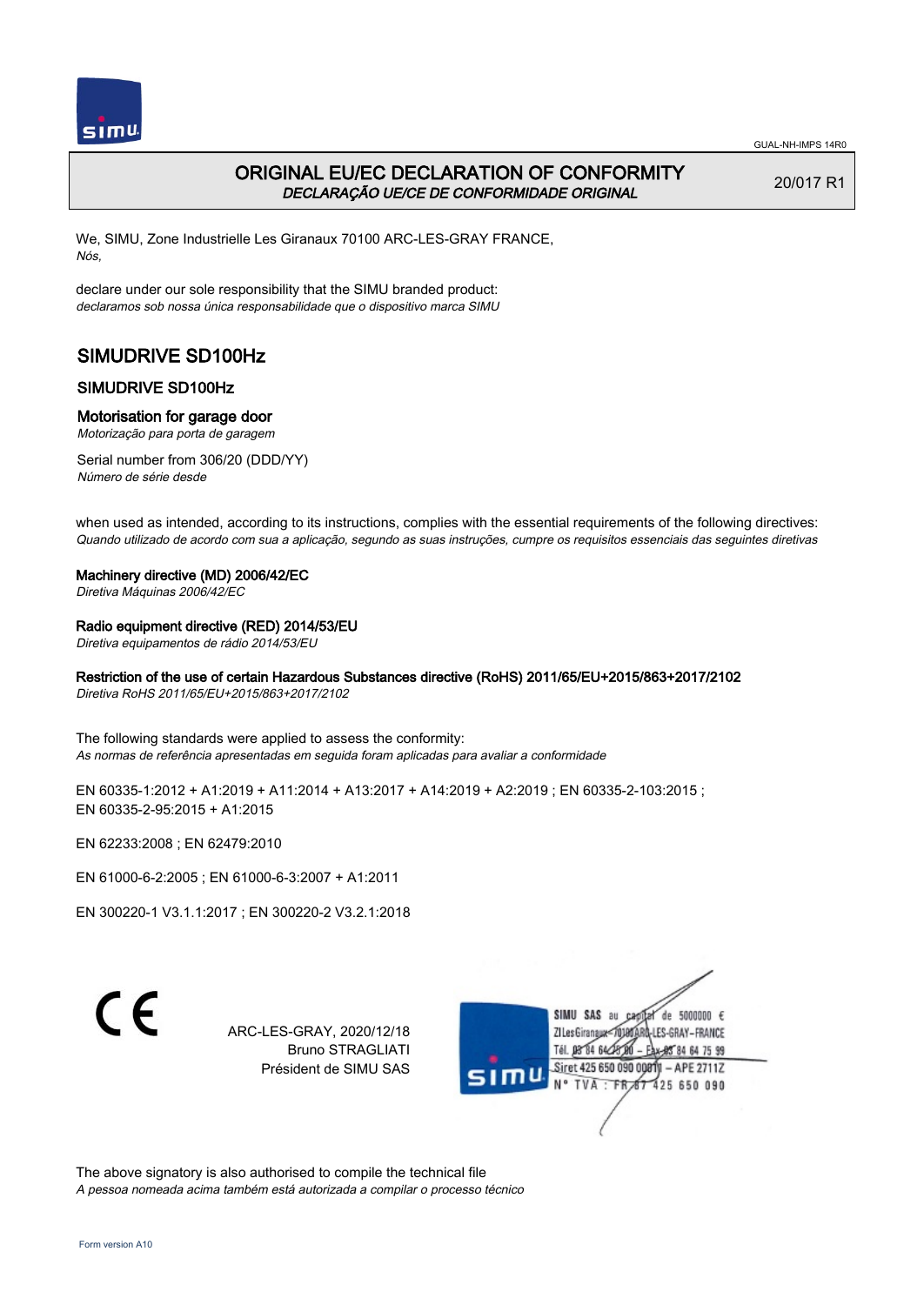

# ORIGINAL EU/EC DECLARATION OF CONFORMITY DECLARAÇÃO UE/CE DE CONFORMIDADE ORIGINAL

20/017 R1

We, SIMU, Zone Industrielle Les Giranaux 70100 ARC-LES-GRAY FRANCE, Nós,

declare under our sole responsibility that the SIMU branded product: declaramos sob nossa única responsabilidade que o dispositivo marca SIMU

# SIMUDRIVE SD100Hz

# SIMUDRIVE SD100Hz

### Motorisation for garage door

Motorização para porta de garagem

Serial number from 306/20 (DDD/YY) Número de série desde

when used as intended, according to its instructions, complies with the essential requirements of the following directives: Quando utilizado de acordo com sua a aplicação, segundo as suas instruções, cumpre os requisitos essenciais das seguintes diretivas

#### Machinery directive (MD) 2006/42/EC

Diretiva Máquinas 2006/42/EC

### Radio equipment directive (RED) 2014/53/EU

Diretiva equipamentos de rádio 2014/53/EU

### Restriction of the use of certain Hazardous Substances directive (RoHS) 2011/65/EU+2015/863+2017/2102

Diretiva RoHS 2011/65/EU+2015/863+2017/2102

The following standards were applied to assess the conformity: As normas de referência apresentadas em seguida foram aplicadas para avaliar a conformidade

EN 60335-1:2012 + A1:2019 + A11:2014 + A13:2017 + A14:2019 + A2:2019 ; EN 60335-2-103:2015 ; EN 60335‑2‑95:2015 + A1:2015

EN 62233:2008 ; EN 62479:2010

EN 61000‑6‑2:2005 ; EN 61000‑6‑3:2007 + A1:2011

EN 300220‑1 V3.1.1:2017 ; EN 300220‑2 V3.2.1:2018

C E

ARC-LES-GRAY, 2020/12/18 Bruno STRAGLIATI Président de SIMU SAS



The above signatory is also authorised to compile the technical file A pessoa nomeada acima também está autorizada a compilar o processo técnico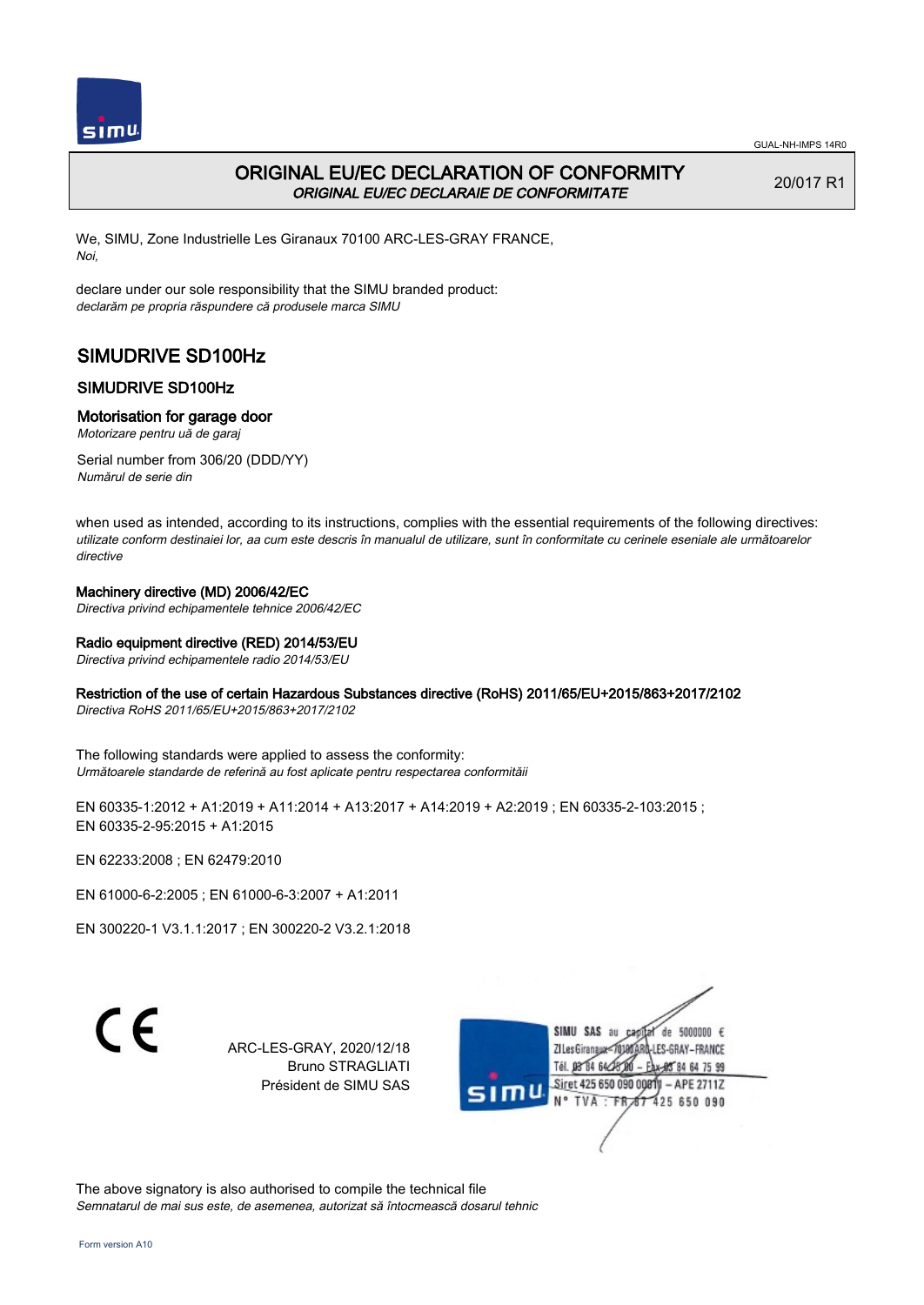

# ORIGINAL EU/EC DECLARATION OF CONFORMITY ORIGINAL EU/EC DECLARAIE DE CONFORMITATE

20/017 R1

We, SIMU, Zone Industrielle Les Giranaux 70100 ARC-LES-GRAY FRANCE, Noi,

declare under our sole responsibility that the SIMU branded product: declarăm pe propria răspundere că produsele marca SIMU

# SIMUDRIVE SD100Hz

# SIMUDRIVE SD100Hz

## Motorisation for garage door

Motorizare pentru uă de garaj

Serial number from 306/20 (DDD/YY) Numărul de serie din

when used as intended, according to its instructions, complies with the essential requirements of the following directives: utilizate conform destinaiei lor, aa cum este descris în manualul de utilizare, sunt în conformitate cu cerinele eseniale ale următoarelor directive

## Machinery directive (MD) 2006/42/EC

Directiva privind echipamentele tehnice 2006/42/EC

## Radio equipment directive (RED) 2014/53/EU

Directiva privind echipamentele radio 2014/53/EU

## Restriction of the use of certain Hazardous Substances directive (RoHS) 2011/65/EU+2015/863+2017/2102

Directiva RoHS 2011/65/EU+2015/863+2017/2102

The following standards were applied to assess the conformity: Următoarele standarde de referină au fost aplicate pentru respectarea conformităii

EN 60335-1:2012 + A1:2019 + A11:2014 + A13:2017 + A14:2019 + A2:2019 ; EN 60335-2-103:2015 ; EN 60335‑2‑95:2015 + A1:2015

EN 62233:2008 ; EN 62479:2010

EN 61000‑6‑2:2005 ; EN 61000‑6‑3:2007 + A1:2011

EN 300220‑1 V3.1.1:2017 ; EN 300220‑2 V3.2.1:2018

 $\epsilon$ 

ARC-LES-GRAY, 2020/12/18 Bruno STRAGLIATI Président de SIMU SAS



The above signatory is also authorised to compile the technical file Semnatarul de mai sus este, de asemenea, autorizat să întocmească dosarul tehnic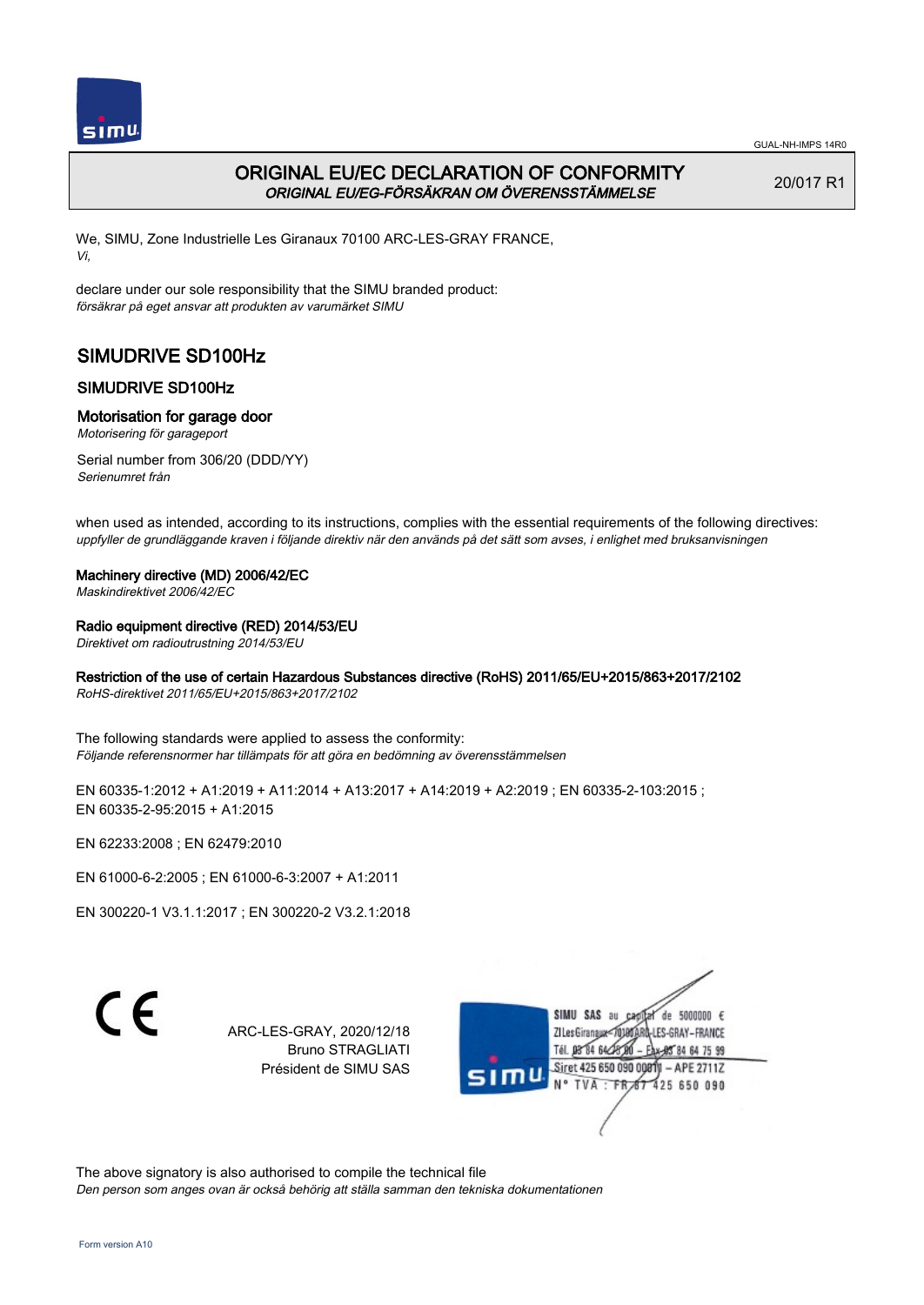

# ORIGINAL EU/EC DECLARATION OF CONFORMITY ORIGINAL EU/EG-FÖRSÄKRAN OM ÖVERENSSTÄMMELSE

20/017 R1

We, SIMU, Zone Industrielle Les Giranaux 70100 ARC-LES-GRAY FRANCE, Vi,

declare under our sole responsibility that the SIMU branded product: försäkrar på eget ansvar att produkten av varumärket SIMU

# SIMUDRIVE SD100Hz

# SIMUDRIVE SD100Hz

## Motorisation for garage door

Motorisering för garageport

Serial number from 306/20 (DDD/YY) Serienumret från

when used as intended, according to its instructions, complies with the essential requirements of the following directives: uppfyller de grundläggande kraven i följande direktiv när den används på det sätt som avses, i enlighet med bruksanvisningen

### Machinery directive (MD) 2006/42/EC

Maskindirektivet 2006/42/EC

## Radio equipment directive (RED) 2014/53/EU

Direktivet om radioutrustning 2014/53/EU

# Restriction of the use of certain Hazardous Substances directive (RoHS) 2011/65/EU+2015/863+2017/2102

RoHS-direktivet 2011/65/EU+2015/863+2017/2102

The following standards were applied to assess the conformity: Följande referensnormer har tillämpats för att göra en bedömning av överensstämmelsen

EN 60335-1:2012 + A1:2019 + A11:2014 + A13:2017 + A14:2019 + A2:2019 ; EN 60335-2-103:2015 ; EN 60335‑2‑95:2015 + A1:2015

EN 62233:2008 ; EN 62479:2010

EN 61000‑6‑2:2005 ; EN 61000‑6‑3:2007 + A1:2011

EN 300220‑1 V3.1.1:2017 ; EN 300220‑2 V3.2.1:2018

C E

ARC-LES-GRAY, 2020/12/18 Bruno STRAGLIATI Président de SIMU SAS



The above signatory is also authorised to compile the technical file

Den person som anges ovan är också behörig att ställa samman den tekniska dokumentationen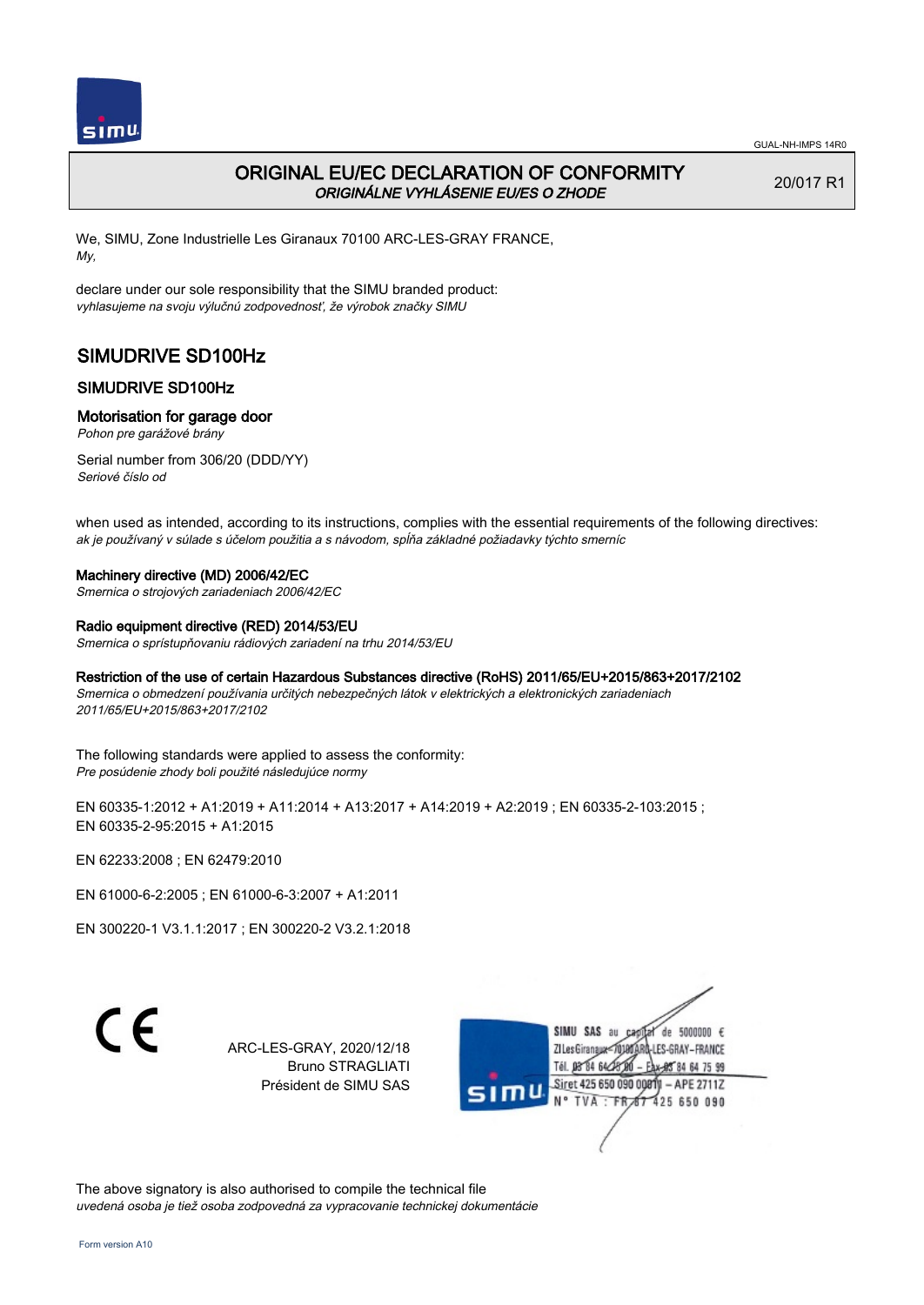

# ORIGINAL EU/EC DECLARATION OF CONFORMITY ORIGINÁLNE VYHLÁSENIE EU/ES O ZHODE

20/017 R1

We, SIMU, Zone Industrielle Les Giranaux 70100 ARC-LES-GRAY FRANCE, My,

declare under our sole responsibility that the SIMU branded product: vyhlasujeme na svoju výlučnú zodpovednosť, že výrobok značky SIMU

# SIMUDRIVE SD100Hz

## SIMUDRIVE SD100Hz

### Motorisation for garage door

Pohon pre garážové brány

Serial number from 306/20 (DDD/YY) Seriové číslo od

when used as intended, according to its instructions, complies with the essential requirements of the following directives: ak je používaný v súlade s účelom použitia a s návodom, spĺňa základné požiadavky týchto smerníc

#### Machinery directive (MD) 2006/42/EC

Smernica o strojových zariadeniach 2006/42/EC

#### Radio equipment directive (RED) 2014/53/EU

Smernica o sprístupňovaniu rádiových zariadení na trhu 2014/53/EU

#### Restriction of the use of certain Hazardous Substances directive (RoHS) 2011/65/EU+2015/863+2017/2102

Smernica o obmedzení používania určitých nebezpečných látok v elektrických a elektronických zariadeniach 2011/65/EU+2015/863+2017/2102

The following standards were applied to assess the conformity: Pre posúdenie zhody boli použité následujúce normy

EN 60335-1:2012 + A1:2019 + A11:2014 + A13:2017 + A14:2019 + A2:2019 ; EN 60335-2-103:2015 ; EN 60335‑2‑95:2015 + A1:2015

EN 62233:2008 ; EN 62479:2010

EN 61000‑6‑2:2005 ; EN 61000‑6‑3:2007 + A1:2011

EN 300220‑1 V3.1.1:2017 ; EN 300220‑2 V3.2.1:2018

 $\epsilon$ 

ARC-LES-GRAY, 2020/12/18 Bruno STRAGLIATI Président de SIMU SAS



The above signatory is also authorised to compile the technical file uvedená osoba je tiež osoba zodpovedná za vypracovanie technickej dokumentácie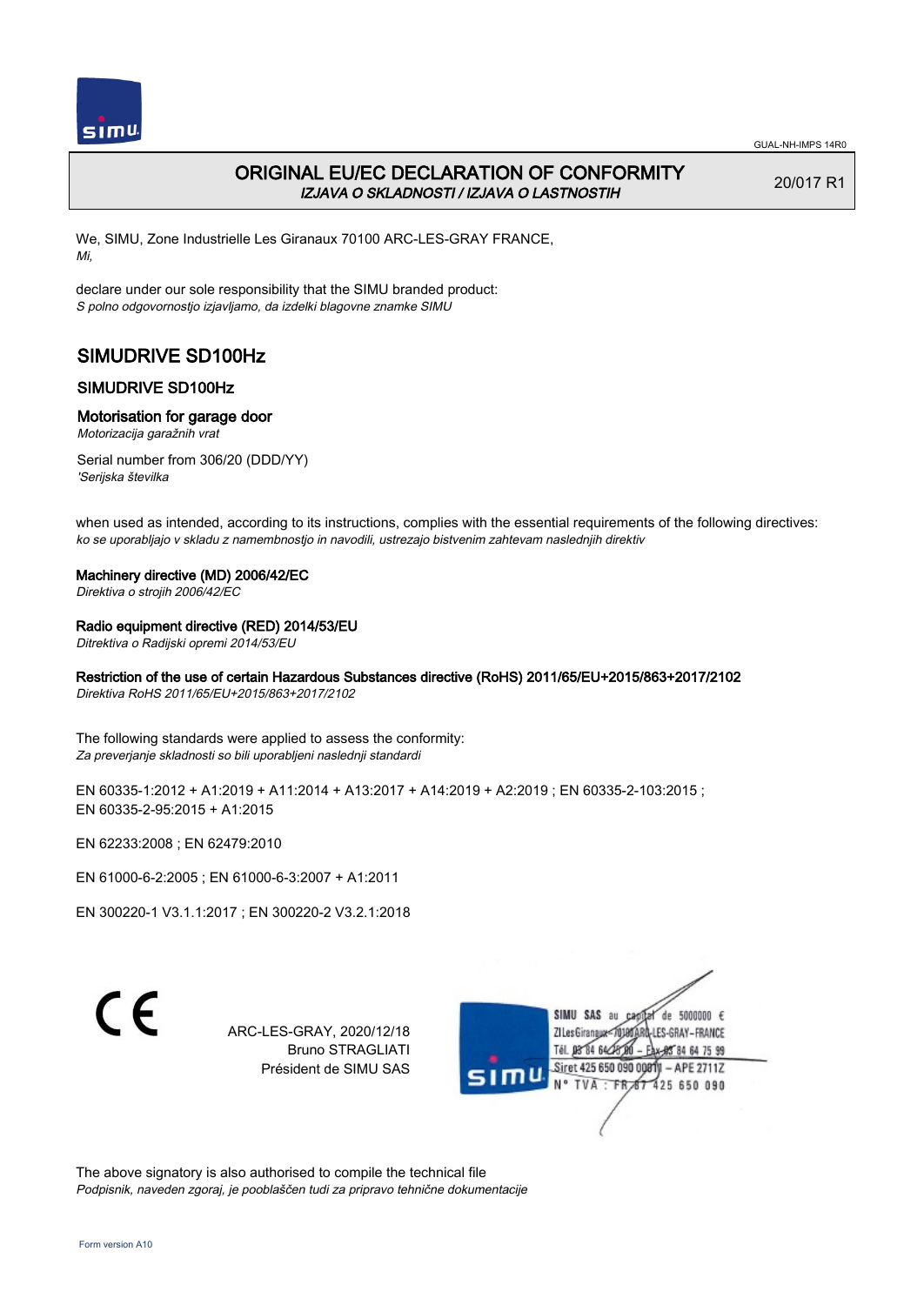

# ORIGINAL EU/EC DECLARATION OF CONFORMITY IZJAVA O SKLADNOSTI / IZJAVA O LASTNOSTIH

20/017 R1

We, SIMU, Zone Industrielle Les Giranaux 70100 ARC-LES-GRAY FRANCE, Mi,

declare under our sole responsibility that the SIMU branded product: S polno odgovornostjo izjavljamo, da izdelki blagovne znamke SIMU

# SIMUDRIVE SD100Hz

# SIMUDRIVE SD100Hz

## Motorisation for garage door

Motorizacija garažnih vrat

Serial number from 306/20 (DDD/YY) 'Serijska številka

when used as intended, according to its instructions, complies with the essential requirements of the following directives: ko se uporabljajo v skladu z namembnostjo in navodili, ustrezajo bistvenim zahtevam naslednjih direktiv

## Machinery directive (MD) 2006/42/EC

Direktiva o strojih 2006/42/EC

## Radio equipment directive (RED) 2014/53/EU

Ditrektiva o Radijski opremi 2014/53/EU

# Restriction of the use of certain Hazardous Substances directive (RoHS) 2011/65/EU+2015/863+2017/2102

Direktiva RoHS 2011/65/EU+2015/863+2017/2102

The following standards were applied to assess the conformity: Za preverjanje skladnosti so bili uporabljeni naslednji standardi

EN 60335-1:2012 + A1:2019 + A11:2014 + A13:2017 + A14:2019 + A2:2019 ; EN 60335-2-103:2015 ; EN 60335‑2‑95:2015 + A1:2015

EN 62233:2008 ; EN 62479:2010

EN 61000‑6‑2:2005 ; EN 61000‑6‑3:2007 + A1:2011

EN 300220‑1 V3.1.1:2017 ; EN 300220‑2 V3.2.1:2018

C E

ARC-LES-GRAY, 2020/12/18 Bruno STRAGLIATI Président de SIMU SAS



The above signatory is also authorised to compile the technical file Podpisnik, naveden zgoraj, je pooblaščen tudi za pripravo tehnične dokumentacije